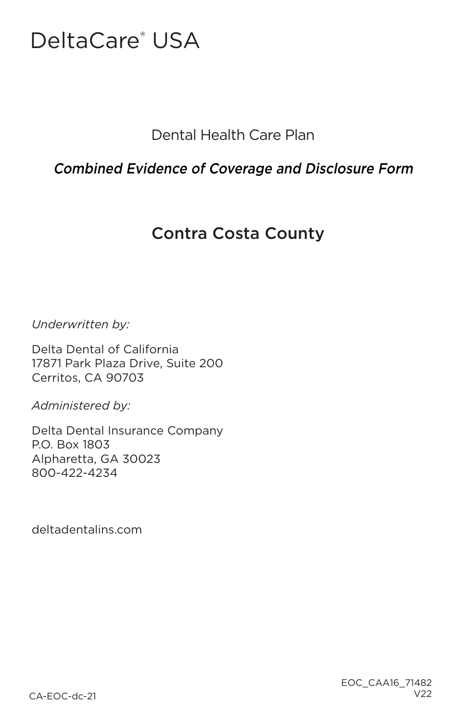# DeltaCare<sup>®</sup> USA

Dental Health Care Plan

## Combined Evidence of Coverage and Disclosure Form

# Contra Costa County

*Underwritten by:*

Delta Dental of California 17871 Park Plaza Drive, Suite 200 Cerritos, CA 90703

*Administered by:*

Delta Dental Insurance Company P.O. Box 1803 Alpharetta, GA 30023 800-422-4234

deltadentalins.com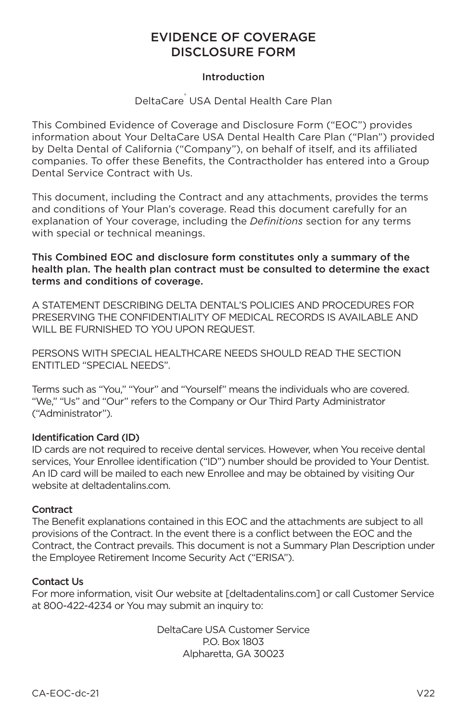## EVIDENCE OF COVERAGE DISCLOSURE FORM

#### Introduction

#### DeltaCare<sup>®</sup> USA Dental Health Care Plan

This Combined Evidence of Coverage and Disclosure Form ("EOC") provides information about Your DeltaCare USA Dental Health Care Plan ("Plan") provided by Delta Dental of California ("Company"), on behalf of itself, and its affiliated companies. To offer these Benefits, the Contractholder has entered into a Group Dental Service Contract with Us.

This document, including the Contract and any attachments, provides the terms and conditions of Your Plan's coverage. Read this document carefully for an explanation of Your coverage, including the *Definitions* section for any terms with special or technical meanings.

#### This Combined EOC and disclosure form constitutes only a summary of the health plan. The health plan contract must be consulted to determine the exact terms and conditions of coverage.

A STATEMENT DESCRIBING DELTA DENTAL'S POLICIES AND PROCEDURES FOR PRESERVING THE CONFIDENTIALITY OF MEDICAL RECORDS IS AVAILABLE AND WILL BE FURNISHED TO YOU UPON REQUEST.

PERSONS WITH SPECIAL HEALTHCARE NEEDS SHOULD READ THE SECTION ENTITLED "SPECIAL NEEDS".

Terms such as "You," "Your" and "Yourself" means the individuals who are covered. "We," "Us" and "Our" refers to the Company or Our Third Party Administrator ("Administrator").

#### Identification Card (ID)

ID cards are not required to receive dental services. However, when You receive dental services, Your Enrollee identification ("ID") number should be provided to Your Dentist. An ID card will be mailed to each new Enrollee and may be obtained by visiting Our website at deltadentalins.com.

#### **Contract**

The Benefit explanations contained in this EOC and the attachments are subject to all provisions of the Contract. In the event there is a conflict between the EOC and the Contract, the Contract prevails. This document is not a Summary Plan Description under the Employee Retirement Income Security Act ("ERISA").

#### Contact Us

For more information, visit Our website at [deltadentalins.com] or call Customer Service at 800-422-4234 or You may submit an inquiry to:

> DeltaCare USA Customer Service P.O. Box 1803 Alpharetta, GA 30023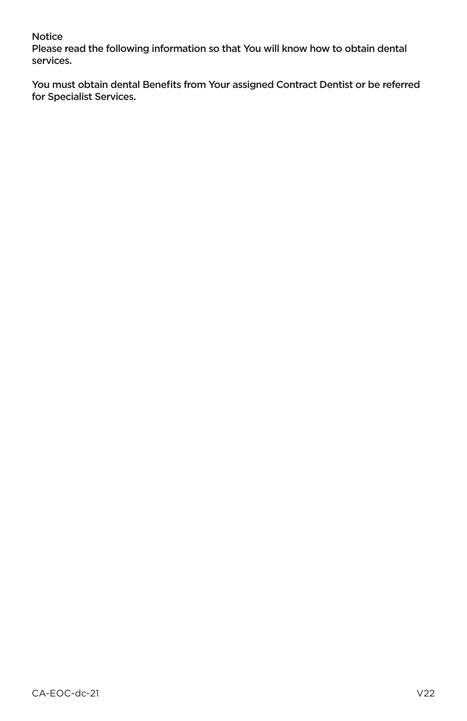#### Notice

Please read the following information so that You will know how to obtain dental services.

You must obtain dental Benefits from Your assigned Contract Dentist or be referred for Specialist Services.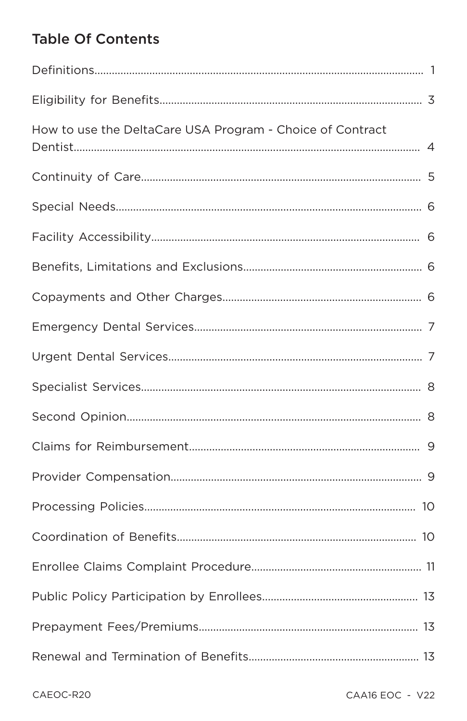# **Table Of Contents**

| How to use the DeltaCare USA Program - Choice of Contract |  |
|-----------------------------------------------------------|--|
|                                                           |  |
|                                                           |  |
|                                                           |  |
|                                                           |  |
|                                                           |  |
|                                                           |  |
|                                                           |  |
|                                                           |  |
|                                                           |  |
|                                                           |  |
|                                                           |  |
|                                                           |  |
|                                                           |  |
|                                                           |  |
|                                                           |  |
|                                                           |  |
|                                                           |  |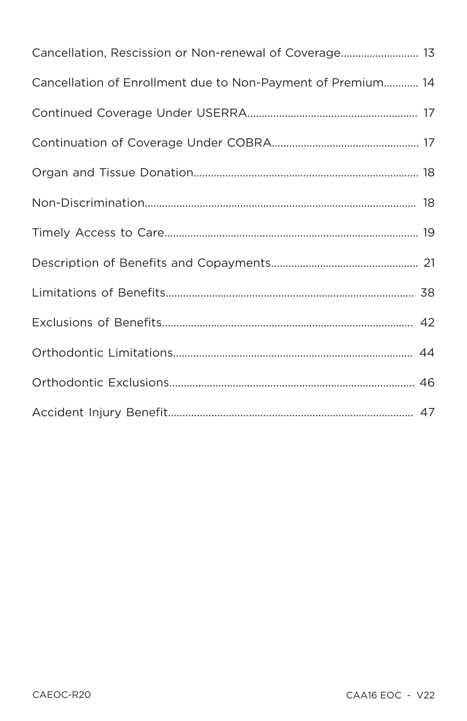| Cancellation, Rescission or Non-renewal of Coverage 13      |
|-------------------------------------------------------------|
| Cancellation of Enrollment due to Non-Payment of Premium 14 |
|                                                             |
|                                                             |
|                                                             |
|                                                             |
|                                                             |
|                                                             |
|                                                             |
|                                                             |
|                                                             |
|                                                             |
|                                                             |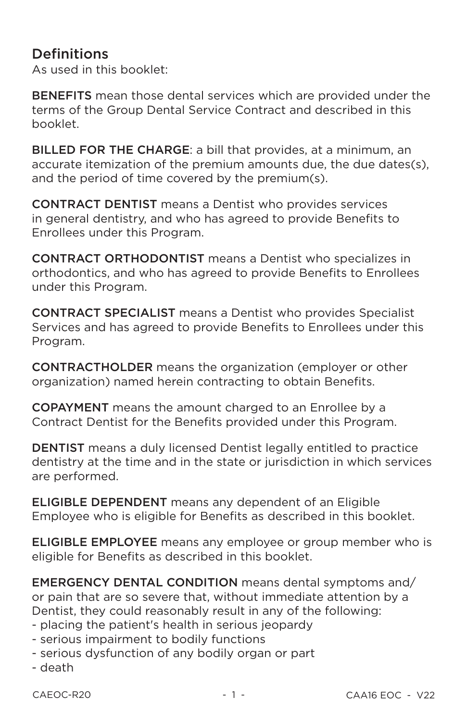## **Definitions**

As used in this booklet:

**BENEFITS** mean those dental services which are provided under the terms of the Group Dental Service Contract and described in this booklet.

**BILLED FOR THE CHARGE:** a bill that provides, at a minimum, an accurate itemization of the premium amounts due, the due dates(s), and the period of time covered by the premium(s).

**CONTRACT DENTIST** means a Dentist who provides services in general dentistry, and who has agreed to provide Benefits to Enrollees under this Program.

**CONTRACT ORTHODONTIST** means a Dentist who specializes in orthodontics, and who has agreed to provide Benefits to Enrollees under this Program.

**CONTRACT SPECIALIST** means a Dentist who provides Specialist Services and has agreed to provide Benefits to Enrollees under this Program.

**CONTRACTHOLDER** means the organization (employer or other organization) named herein contracting to obtain Benefits.

**COPAYMENT** means the amount charged to an Enrollee by a Contract Dentist for the Benefits provided under this Program.

**DENTIST** means a duly licensed Dentist legally entitled to practice dentistry at the time and in the state or jurisdiction in which services are performed.

**ELIGIBLE DEPENDENT** means any dependent of an Eligible Employee who is eligible for Benefits as described in this booklet.

**ELIGIBLE EMPLOYEE** means any employee or group member who is eligible for Benefits as described in this booklet.

**EMERGENCY DENTAL CONDITION** means dental symptoms and/ or pain that are so severe that, without immediate attention by a Dentist, they could reasonably result in any of the following:

- placing the patient's health in serious jeopardy
- serious impairment to bodily functions
- serious dysfunction of any bodily organ or part
- death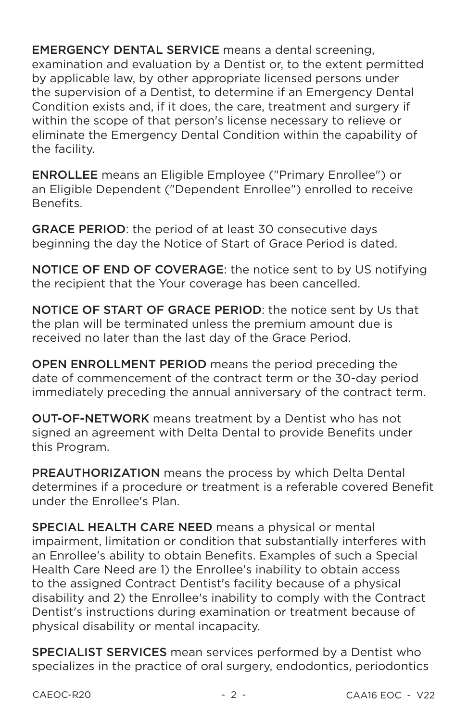**EMERGENCY DENTAL SERVICE** means a dental screening. examination and evaluation by a Dentist or, to the extent permitted by applicable law, by other appropriate licensed persons under the supervision of a Dentist, to determine if an Emergency Dental Condition exists and, if it does, the care, treatment and surgery if within the scope of that person's license necessary to relieve or eliminate the Emergency Dental Condition within the capability of the facility.

**ENROLLEE** means an Eligible Employee ("Primary Enrollee") or an Eligible Dependent ("Dependent Enrollee") enrolled to receive Benefits.

**GRACE PERIOD:** the period of at least 30 consecutive days beginning the day the Notice of Start of Grace Period is dated.

NOTICE OF END OF COVERAGE: the notice sent to by US notifying the recipient that the Your coverage has been cancelled.

**NOTICE OF START OF GRACE PERIOD: the notice sent by Us that** the plan will be terminated unless the premium amount due is received no later than the last day of the Grace Period.

OPEN ENROLLMENT PERIOD means the period preceding the date of commencement of the contract term or the 30-day period immediately preceding the annual anniversary of the contract term.

**OUT-OF-NETWORK** means treatment by a Dentist who has not signed an agreement with Delta Dental to provide Benefits under this Program.

**PREAUTHORIZATION** means the process by which Delta Dental determines if a procedure or treatment is a referable covered Benefit under the Enrollee's Plan.

**SPECIAL HEALTH CARE NEED** means a physical or mental impairment, limitation or condition that substantially interferes with an Enrollee's ability to obtain Benefits. Examples of such a Special Health Care Need are 1) the Enrollee's inability to obtain access to the assigned Contract Dentist's facility because of a physical disability and 2) the Enrollee's inability to comply with the Contract Dentist's instructions during examination or treatment because of physical disability or mental incapacity.

**SPECIALIST SERVICES** mean services performed by a Dentist who specializes in the practice of oral surgery, endodontics, periodontics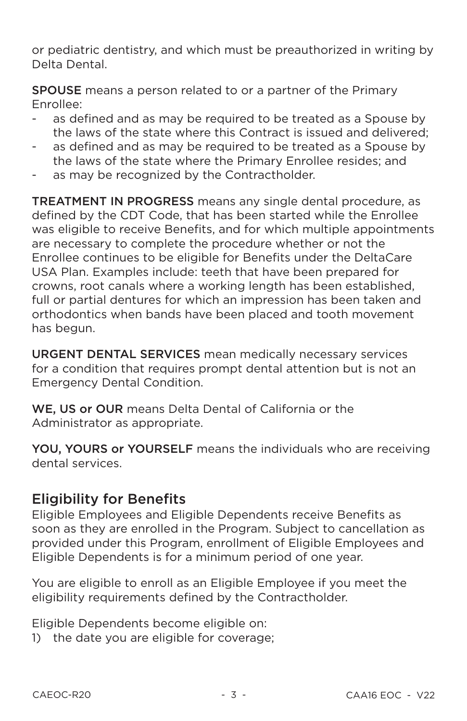or pediatric dentistry, and which must be preauthorized in writing by Delta Dental

**SPOUSE** means a person related to or a partner of the Primary Fnrollee:

- as defined and as may be required to be treated as a Spouse by the laws of the state where this Contract is issued and delivered:
- as defined and as may be required to be treated as a Spouse by the laws of the state where the Primary Enrollee resides; and
- as may be recognized by the Contractholder.

**TREATMENT IN PROGRESS** means any single dental procedure, as defined by the CDT Code, that has been started while the Enrollee was eligible to receive Benefits, and for which multiple appointments are necessary to complete the procedure whether or not the Enrollee continues to be eligible for Benefits under the DeltaCare USA Plan. Examples include: teeth that have been prepared for crowns, root canals where a working length has been established, full or partial dentures for which an impression has been taken and orthodontics when bands have been placed and tooth movement has begun.

**URGENT DENTAL SERVICES** mean medically necessary services for a condition that requires prompt dental attention but is not an **Emergency Dental Condition.** 

WE. US or OUR means Delta Dental of California or the Administrator as appropriate.

YOU, YOURS or YOURSELF means the individuals who are receiving dental services.

## **Eligibility for Benefits**

Eligible Employees and Eligible Dependents receive Benefits as soon as they are enrolled in the Program. Subject to cancellation as provided under this Program, enrollment of Eligible Employees and Eligible Dependents is for a minimum period of one year.

You are eligible to enroll as an Eligible Employee if you meet the eligibility requirements defined by the Contractholder.

Eligible Dependents become eligible on:

1) the date you are eligible for coverage: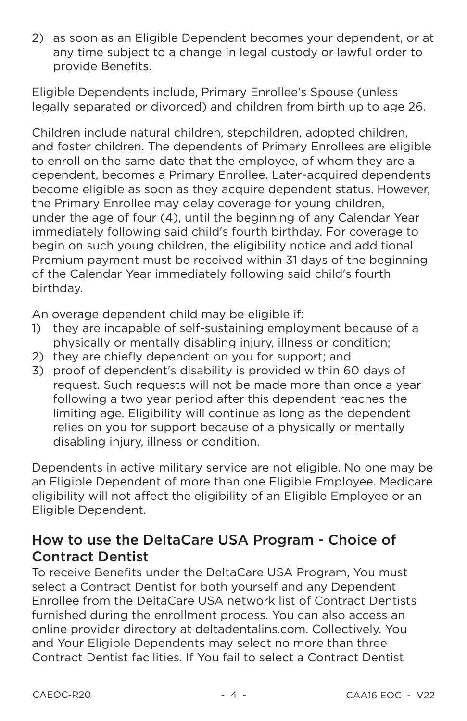2) as soon as an Eligible Dependent becomes your dependent, or at any time subject to a change in legal custody or lawful order to provide Benefits.

Eligible Dependents include, Primary Enrollee's Spouse (unless legally separated or divorced) and children from birth up to age 26.

Children include natural children, stepchildren, adopted children, and foster children. The dependents of Primary Enrollees are eligible to enroll on the same date that the emplovee, of whom they are a dependent, becomes a Primary Enrollee. Later-acquired dependents become eligible as soon as they acquire dependent status. However, the Primary Enrollee may delay coverage for young children. under the age of four (4), until the beginning of any Calendar Year immediately following said child's fourth birthday. For coverage to begin on such young children, the eligibility notice and additional Premium payment must be received within 31 days of the beginning of the Calendar Year immediately following said child's fourth birthdav.

An overage dependent child may be eligible if:

- they are incapable of self-sustaining employment because of a  $\left( \frac{1}{2} \right)$ physically or mentally disabling injury, illness or condition;
- 2) they are chiefly dependent on you for support; and
- 3) proof of dependent's disability is provided within 60 days of request. Such requests will not be made more than once a year following a two year period after this dependent reaches the limiting age. Eligibility will continue as long as the dependent relies on you for support because of a physically or mentally disabling injury, illness or condition.

Dependents in active military service are not eligible. No one may be an Eligible Dependent of more than one Eligible Employee. Medicare eligibility will not affect the eligibility of an Eligible Employee or an Eligible Dependent.

## How to use the DeltaCare USA Program - Choice of **Contract Dentist**

To receive Benefits under the DeltaCare USA Program, You must select a Contract Dentist for both yourself and any Dependent Enrollee from the DeltaCare USA network list of Contract Dentists furnished during the enrollment process. You can also access an online provider directory at deltadentalins.com. Collectively, You and Your Eligible Dependents may select no more than three Contract Dentist facilities. If You fail to select a Contract Dentist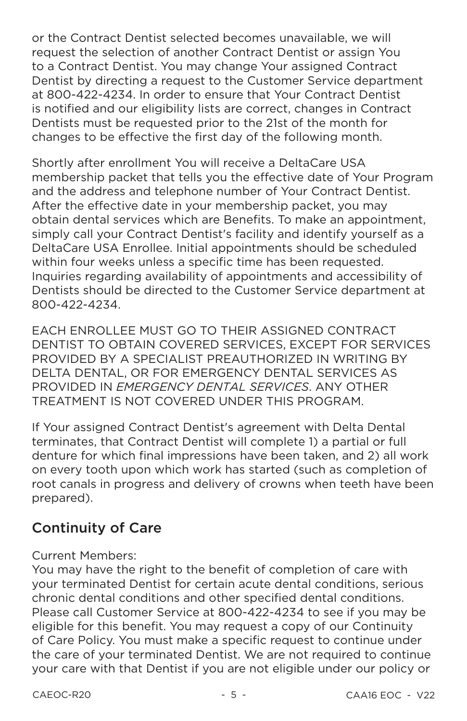or the Contract Dentist selected becomes unavailable, we will request the selection of another Contract Dentist or assign You to a Contract Dentist. You may change Your assigned Contract Dentist by directing a request to the Customer Service department at 800-422-4234. In order to ensure that Your Contract Dentist is notified and our eligibility lists are correct, changes in Contract Dentists must be requested prior to the 21st of the month for changes to be effective the first day of the following month.

Shortly after enrollment You will receive a DeltaCare USA membership packet that tells you the effective date of Your Program and the address and telephone number of Your Contract Dentist. After the effective date in your membership packet, you may obtain dental services which are Benefits. To make an appointment, simply call your Contract Dentist's facility and identify yourself as a DeltaCare USA Enrollee, Initial appointments should be scheduled within four weeks unless a specific time has been requested. Inquiries regarding availability of appointments and accessibility of Dentists should be directed to the Customer Service department at 800-422-4234

**FACH ENROLLEE MUST GO TO THEIR ASSIGNED CONTRACT** DENTIST TO OBTAIN COVERED SERVICES. EXCEPT FOR SERVICES PROVIDED BY A SPECIALIST PREAUTHORIZED IN WRITING BY DELTA DENTAL, OR FOR EMERGENCY DENTAL SERVICES AS PROVIDED IN FMFRGENCY DENTAL SERVICES, ANY OTHER TREATMENT IS NOT COVERED UNDER THIS PROGRAM.

If Your assigned Contract Dentist's agreement with Delta Dental terminates, that Contract Dentist will complete 1) a partial or full denture for which final impressions have been taken, and 2) all work on every tooth upon which work has started (such as completion of root canals in progress and delivery of crowns when teeth have been prepared).

## **Continuity of Care**

#### **Current Members:**

You may have the right to the benefit of completion of care with your terminated Dentist for certain acute dental conditions, serious chronic dental conditions and other specified dental conditions. Please call Customer Service at 800-422-4234 to see if you may be eligible for this benefit. You may request a copy of our Continuity of Care Policy. You must make a specific request to continue under the care of your terminated Dentist. We are not required to continue your care with that Dentist if you are not eligible under our policy or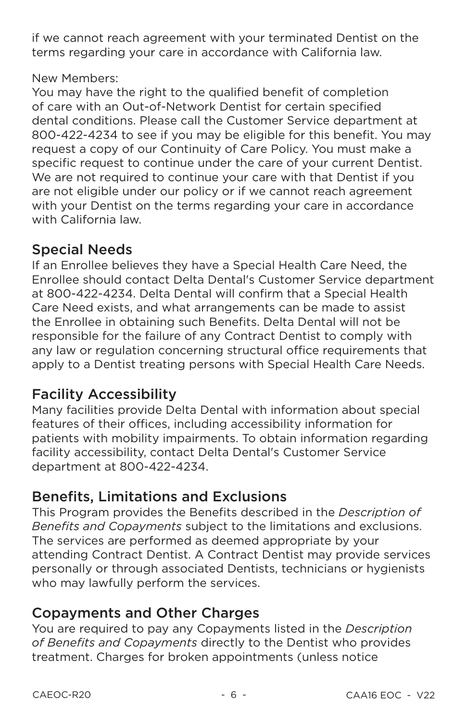if we cannot reach agreement with your terminated Dentist on the terms regarding your care in accordance with California law.

## New Members:

You may have the right to the qualified benefit of completion of care with an Out-of-Network Dentist for certain specified dental conditions. Please call the Customer Service department at 800-422-4234 to see if you may be eligible for this benefit. You may request a copy of our Continuity of Care Policy. You must make a specific request to continue under the care of your current Dentist. We are not required to continue your care with that Dentist if you are not eligible under our policy or if we cannot reach agreement with your Dentist on the terms regarding your care in accordance with California law

## **Special Needs**

If an Enrollee believes they have a Special Health Care Need, the Enrollee should contact Delta Dental's Customer Service department at 800-422-4234. Delta Dental will confirm that a Special Health Care Need exists, and what arrangements can be made to assist the Enrollee in obtaining such Benefits. Delta Dental will not be responsible for the failure of any Contract Dentist to comply with any law or regulation concerning structural office requirements that apply to a Dentist treating persons with Special Health Care Needs.

# **Facility Accessibility**

Many facilities provide Delta Dental with information about special features of their offices, including accessibility information for patients with mobility impairments. To obtain information regarding facility accessibility, contact Delta Dental's Customer Service department at 800-422-4234.

## **Benefits, Limitations and Exclusions**

This Program provides the Benefits described in the Description of Benefits and Copayments subject to the limitations and exclusions. The services are performed as deemed appropriate by your attending Contract Dentist. A Contract Dentist may provide services personally or through associated Dentists, technicians or hygienists who may lawfully perform the services.

# **Copayments and Other Charges**

You are required to pay any Copayments listed in the Description of Benefits and Copayments directly to the Dentist who provides treatment. Charges for broken appointments (unless notice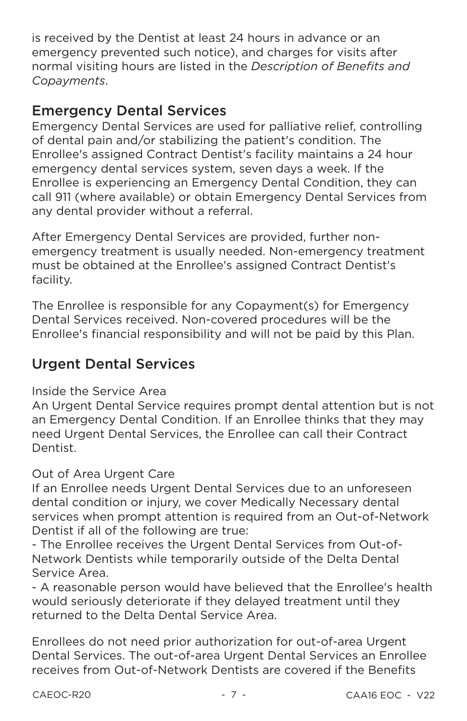is received by the Dentist at least 24 hours in advance or an emergency prevented such notice), and charges for visits after normal visiting hours are listed in the Description of Benefits and Copavments.

## **Emergency Dental Services**

Emergency Dental Services are used for palliative relief, controlling of dental pain and/or stabilizing the patient's condition. The Enrollee's assigned Contract Dentist's facility maintains a 24 hour emergency dental services system, seven days a week. If the Enrollee is experiencing an Emergency Dental Condition, they can call 911 (where available) or obtain Emergency Dental Services from any dental provider without a referral.

After Emergency Dental Services are provided, further nonemergency treatment is usually needed. Non-emergency treatment must be obtained at the Enrollee's assigned Contract Dentist's facility.

The Enrollee is responsible for any Copayment(s) for Emergency Dental Services received. Non-covered procedures will be the Enrollee's financial responsibility and will not be paid by this Plan.

# **Urgent Dental Services**

## Inside the Service Area

An Urgent Dental Service requires prompt dental attention but is not an Emergency Dental Condition. If an Enrollee thinks that they may need Urgent Dental Services, the Enrollee can call their Contract Dentist.

## Out of Area Urgent Care

If an Enrollee needs Urgent Dental Services due to an unforeseen dental condition or injury, we cover Medically Necessary dental services when prompt attention is required from an Out-of-Network Dentist if all of the following are true:

- The Enrollee receives the Urgent Dental Services from Out-of-Network Dentists while temporarily outside of the Delta Dental Service Area.

- A reasonable person would have believed that the Enrollee's health would seriously deteriorate if they delayed treatment until they returned to the Delta Dental Service Area.

Enrollees do not need prior authorization for out-of-area Urgent Dental Services. The out-of-area Urgent Dental Services an Enrollee receives from Out-of-Network Dentists are covered if the Benefits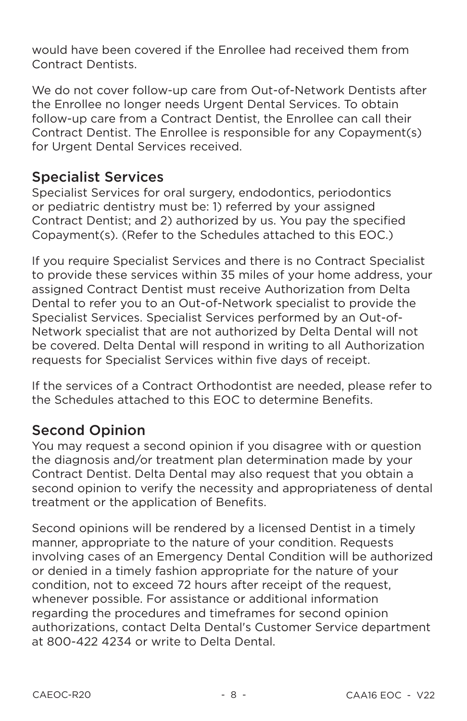would have been covered if the Enrollee had received them from **Contract Dentists** 

We do not cover follow-up care from Out-of-Network Dentists after the Enrollee no longer needs Urgent Dental Services. To obtain follow-up care from a Contract Dentist, the Enrollee can call their Contract Dentist. The Enrollee is responsible for any Copayment(s) for Urgent Dental Services received.

## **Specialist Services**

Specialist Services for oral surgery, endodontics, periodontics or pediatric dentistry must be: 1) referred by your assigned Contract Dentist; and 2) authorized by us. You pay the specified Copayment(s). (Refer to the Schedules attached to this EOC.)

If you require Specialist Services and there is no Contract Specialist to provide these services within 35 miles of your home address, your assigned Contract Dentist must receive Authorization from Delta Dental to refer you to an Out-of-Network specialist to provide the Specialist Services. Specialist Services performed by an Out-of-Network specialist that are not authorized by Delta Dental will not be covered. Delta Dental will respond in writing to all Authorization requests for Specialist Services within five days of receipt.

If the services of a Contract Orthodontist are needed, please refer to the Schedules attached to this EOC to determine Benefits.

## **Second Opinion**

You may request a second opinion if you disagree with or question the diagnosis and/or treatment plan determination made by your Contract Dentist. Delta Dental may also request that you obtain a second opinion to verify the necessity and appropriateness of dental treatment or the application of Benefits.

Second opinions will be rendered by a licensed Dentist in a timely manner, appropriate to the nature of your condition. Requests involving cases of an Emergency Dental Condition will be authorized or denied in a timely fashion appropriate for the nature of your condition, not to exceed 72 hours after receipt of the request. whenever possible. For assistance or additional information regarding the procedures and timeframes for second opinion authorizations, contact Delta Dental's Customer Service department at 800-422 4234 or write to Delta Dental.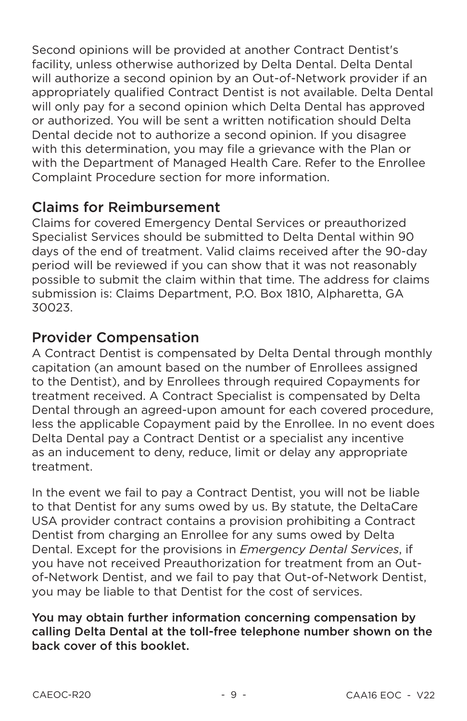Second opinions will be provided at another Contract Dentist's facility, unless otherwise authorized by Delta Dental, Delta Dental will authorize a second opinion by an Out-of-Network provider if an appropriately qualified Contract Dentist is not available. Delta Dental will only pay for a second opinion which Delta Dental has approved or authorized. You will be sent a written notification should Delta Dental decide not to authorize a second opinion. If you disagree with this determination, you may file a grievance with the Plan or with the Department of Managed Health Care. Refer to the Enrollee Complaint Procedure section for more information.

## **Claims for Reimbursement**

Claims for covered Emergency Dental Services or preauthorized Specialist Services should be submitted to Delta Dental within 90 days of the end of treatment. Valid claims received after the 90-day period will be reviewed if you can show that it was not reasonably possible to submit the claim within that time. The address for claims submission is: Claims Department, P.O. Box 1810, Alpharetta, GA 30023.

## **Provider Compensation**

A Contract Dentist is compensated by Delta Dental through monthly capitation (an amount based on the number of Enrollees assigned to the Dentist), and by Enrollees through required Copayments for treatment received. A Contract Specialist is compensated by Delta Dental through an agreed-upon amount for each covered procedure. less the applicable Copayment paid by the Enrollee. In no event does Delta Dental pay a Contract Dentist or a specialist any incentive as an inducement to deny, reduce, limit or delay any appropriate treatment.

In the event we fail to pay a Contract Dentist, you will not be liable to that Dentist for any sums owed by us. By statute, the DeltaCare USA provider contract contains a provision prohibiting a Contract Dentist from charging an Enrollee for any sums owed by Delta Dental. Except for the provisions in *Emergency Dental Services*, if you have not received Preauthorization for treatment from an Outof-Network Dentist, and we fail to pay that Out-of-Network Dentist. you may be liable to that Dentist for the cost of services.

You may obtain further information concerning compensation by calling Delta Dental at the toll-free telephone number shown on the back cover of this booklet.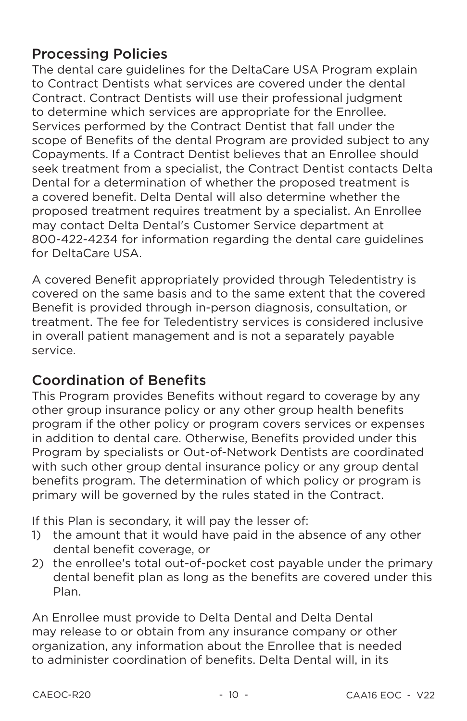## **Processing Policies**

The dental care guidelines for the DeltaCare USA Program explain to Contract Dentists what services are covered under the dental Contract. Contract Dentists will use their professional judgment to determine which services are appropriate for the Enrollee. Services performed by the Contract Dentist that fall under the scope of Benefits of the dental Program are provided subject to any Copayments. If a Contract Dentist believes that an Enrollee should seek treatment from a specialist, the Contract Dentist contacts Delta Dental for a determination of whether the proposed treatment is a covered benefit. Delta Dental will also determine whether the proposed treatment requires treatment by a specialist. An Enrollee may contact Delta Dental's Customer Service department at 800-422-4234 for information regarding the dental care quidelines for DeltaCare USA.

A covered Benefit appropriately provided through Teledentistry is covered on the same basis and to the same extent that the covered Benefit is provided through in-person diagnosis, consultation, or treatment. The fee for Teledentistry services is considered inclusive in overall patient management and is not a separately payable service.

## **Coordination of Benefits**

This Program provides Benefits without regard to coverage by any other group insurance policy or any other group health benefits program if the other policy or program covers services or expenses in addition to dental care. Otherwise, Benefits provided under this Program by specialists or Out-of-Network Dentists are coordinated with such other group dental insurance policy or any group dental benefits program. The determination of which policy or program is primary will be governed by the rules stated in the Contract.

If this Plan is secondary, it will pay the lesser of:

- 1) the amount that it would have paid in the absence of any other dental benefit coverage, or
- 2) the enrollee's total out-of-pocket cost payable under the primary dental benefit plan as long as the benefits are covered under this Plan.

An Enrollee must provide to Delta Dental and Delta Dental may release to or obtain from any insurance company or other organization, any information about the Enrollee that is needed to administer coordination of benefits. Delta Dental will, in its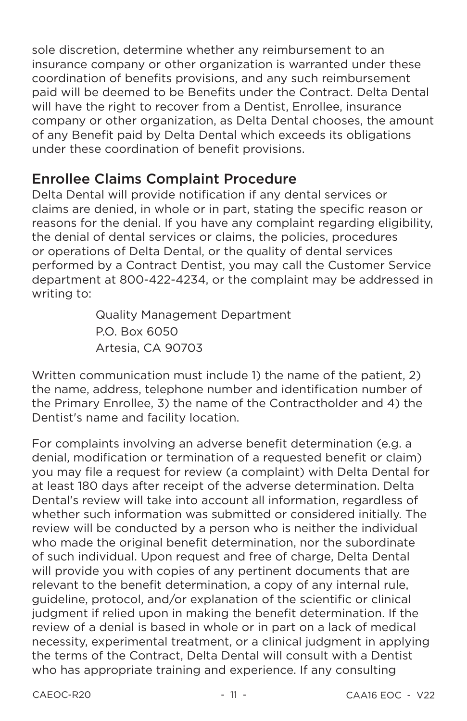sole discretion, determine whether any reimbursement to an insurance company or other organization is warranted under these coordination of benefits provisions, and any such reimbursement paid will be deemed to be Benefits under the Contract. Delta Dental will have the right to recover from a Dentist. Enrollee, insurance company or other organization, as Delta Dental chooses, the amount of any Benefit paid by Delta Dental which exceeds its obligations under these coordination of benefit provisions.

## **Enrollee Claims Complaint Procedure**

Delta Dental will provide notification if any dental services or claims are denied, in whole or in part, stating the specific reason or reasons for the denial. If you have any complaint regarding eligibility, the denial of dental services or claims, the policies, procedures or operations of Delta Dental, or the quality of dental services performed by a Contract Dentist, you may call the Customer Service department at 800-422-4234, or the complaint may be addressed in writing to:

> **Quality Management Department** P.O. Box 6050 Artesia. CA 90703

Written communication must include 1) the name of the patient. 2) the name, address, telephone number and identification number of the Primary Enrollee, 3) the name of the Contractholder and 4) the Dentist's name and facility location.

For complaints involving an adverse benefit determination (e.g. a denial, modification or termination of a requested benefit or claim) you may file a request for review (a complaint) with Delta Dental for at least 180 days after receipt of the adverse determination. Delta Dental's review will take into account all information, regardless of whether such information was submitted or considered initially. The review will be conducted by a person who is neither the individual who made the original benefit determination, nor the subordinate of such individual. Upon request and free of charge, Delta Dental will provide you with copies of any pertinent documents that are relevant to the benefit determination, a copy of any internal rule, guideline, protocol, and/or explanation of the scientific or clinical judgment if relied upon in making the benefit determination. If the review of a denial is based in whole or in part on a lack of medical necessity, experimental treatment, or a clinical judgment in applying the terms of the Contract, Delta Dental will consult with a Dentist who has appropriate training and experience. If any consulting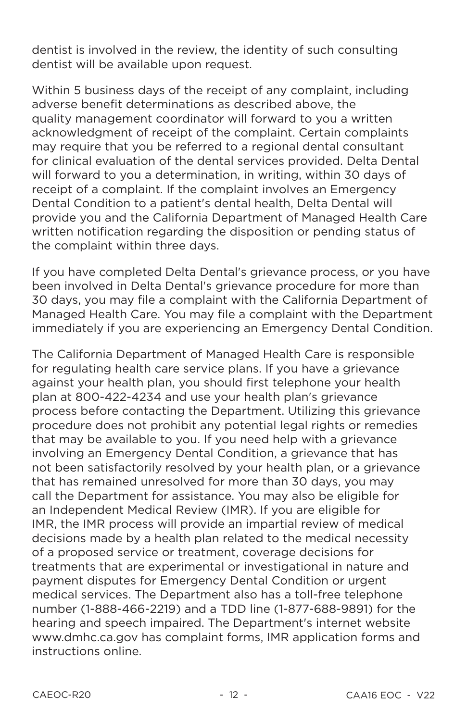dentist is involved in the review, the identity of such consulting dentist will be available upon request.

Within 5 business days of the receipt of any complaint, including adverse benefit determinations as described above, the quality management coordinator will forward to you a written acknowledgment of receipt of the complaint. Certain complaints may require that you be referred to a regional dental consultant for clinical evaluation of the dental services provided. Delta Dental will forward to you a determination, in writing, within 30 days of receipt of a complaint. If the complaint involves an Emergency Dental Condition to a patient's dental health, Delta Dental will provide vou and the California Department of Managed Health Care written notification regarding the disposition or pending status of the complaint within three days.

If you have completed Delta Dental's grievance process, or you have been involved in Delta Dental's grievance procedure for more than 30 days, you may file a complaint with the California Department of Managed Health Care. You may file a complaint with the Department immediately if you are experiencing an Emergency Dental Condition.

The California Department of Managed Health Care is responsible for regulating health care service plans. If you have a grievance against your health plan, you should first telephone your health plan at 800-422-4234 and use your health plan's grievance process before contacting the Department. Utilizing this grievance procedure does not prohibit any potential legal rights or remedies that may be available to you. If you need help with a grievance involving an Emergency Dental Condition, a grievance that has not been satisfactorily resolved by your health plan, or a grievance that has remained unresolved for more than 30 days, you may call the Department for assistance. You may also be eligible for an Independent Medical Review (IMR). If you are eligible for IMR, the IMR process will provide an impartial review of medical decisions made by a health plan related to the medical necessity of a proposed service or treatment, coverage decisions for treatments that are experimental or investigational in nature and payment disputes for Emergency Dental Condition or urgent medical services. The Department also has a toll-free telephone number (1-888-466-2219) and a TDD line (1-877-688-9891) for the hearing and speech impaired. The Department's internet website www.dmhc.ca.gov has complaint forms. IMR application forms and instructions online.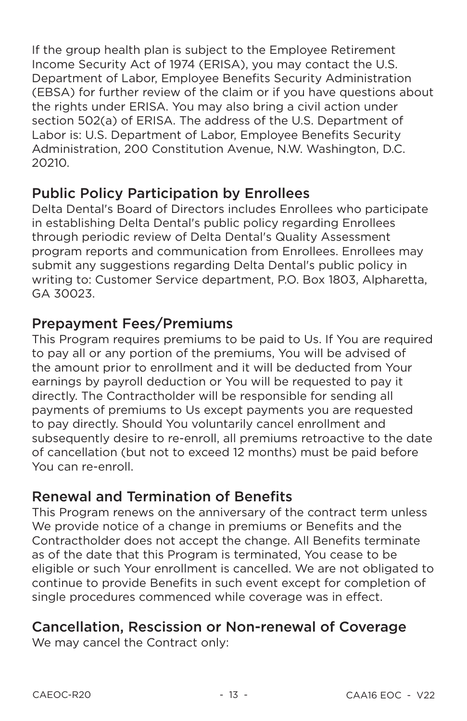If the group health plan is subject to the Employee Retirement Income Security Act of 1974 (ERISA), you may contact the U.S. Department of Labor. Employee Benefits Security Administration (EBSA) for further review of the claim or if you have questions about the rights under ERISA. You may also bring a civil action under section 502(a) of ERISA. The address of the U.S. Department of Labor is: U.S. Department of Labor, Employee Benefits Security Administration, 200 Constitution Avenue, N.W. Washington, D.C. 20210

## **Public Policy Participation by Enrollees**

Delta Dental's Board of Directors includes Enrollees who participate in establishing Delta Dental's public policy regarding Enrollees through periodic review of Delta Dental's Quality Assessment program reports and communication from Enrollees. Enrollees may submit any suggestions regarding Delta Dental's public policy in writing to: Customer Service department, P.O. Box 1803, Alpharetta, GA 30023

## **Prepayment Fees/Premiums**

This Program reguires premiums to be paid to Us. If You are reguired to pay all or any portion of the premiums, You will be advised of the amount prior to enrollment and it will be deducted from Your earnings by payroll deduction or You will be requested to pay it directly. The Contractholder will be responsible for sending all payments of premiums to Us except payments you are requested to pay directly. Should You voluntarily cancel enrollment and subsequently desire to re-enroll, all premiums retroactive to the date of cancellation (but not to exceed 12 months) must be paid before You can re-enroll.

## **Renewal and Termination of Benefits**

This Program renews on the anniversary of the contract term unless We provide notice of a change in premiums or Benefits and the Contractholder does not accept the change. All Benefits terminate as of the date that this Program is terminated. You cease to be eligible or such Your enrollment is cancelled. We are not obligated to continue to provide Benefits in such event except for completion of single procedures commenced while coverage was in effect.

# **Cancellation, Rescission or Non-renewal of Coverage**

We may cancel the Contract only: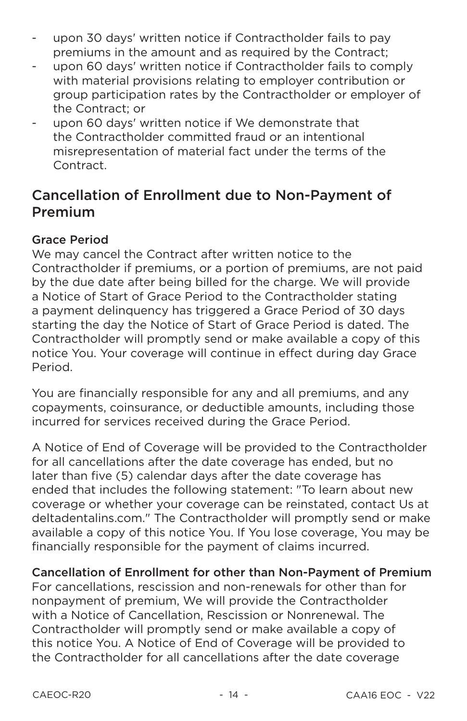- upon 30 days' written notice if Contractholder fails to pay  $\overline{\phantom{a}}$ premiums in the amount and as required by the Contract:
- upon 60 days' written notice if Contractholder fails to comply with material provisions relating to emplover contribution or group participation rates by the Contractholder or employer of the Contract: or
- upon 60 days' written notice if We demonstrate that  $\blacksquare$ the Contractholder committed fraud or an intentional misrepresentation of material fact under the terms of the Contract.

## **Cancellation of Enrollment due to Non-Payment of** Premium

## **Grace Period**

We may cancel the Contract after written notice to the Contractholder if premiums, or a portion of premiums, are not paid by the due date after being billed for the charge. We will provide a Notice of Start of Grace Period to the Contractholder stating a payment delinguency has triggered a Grace Period of 30 days starting the day the Notice of Start of Grace Period is dated. The Contractholder will promptly send or make available a copy of this notice You. Your coverage will continue in effect during day Grace Period.

You are financially responsible for any and all premiums, and any copayments, coinsurance, or deductible amounts, including those incurred for services received during the Grace Period.

A Notice of End of Coverage will be provided to the Contractholder for all cancellations after the date coverage has ended, but no later than five (5) calendar days after the date coverage has ended that includes the following statement: "To learn about new coverage or whether your coverage can be reinstated, contact Us at deltadentalins.com." The Contractholder will promptly send or make available a copy of this notice You. If You lose coverage, You may be financially responsible for the payment of claims incurred.

#### Cancellation of Enrollment for other than Non-Payment of Premium

For cancellations, rescission and non-renewals for other than for nonpayment of premium, We will provide the Contractholder with a Notice of Cancellation, Rescission or Nonrenewal. The Contractholder will promptly send or make available a copy of this notice You. A Notice of End of Coverage will be provided to the Contractholder for all cancellations after the date coverage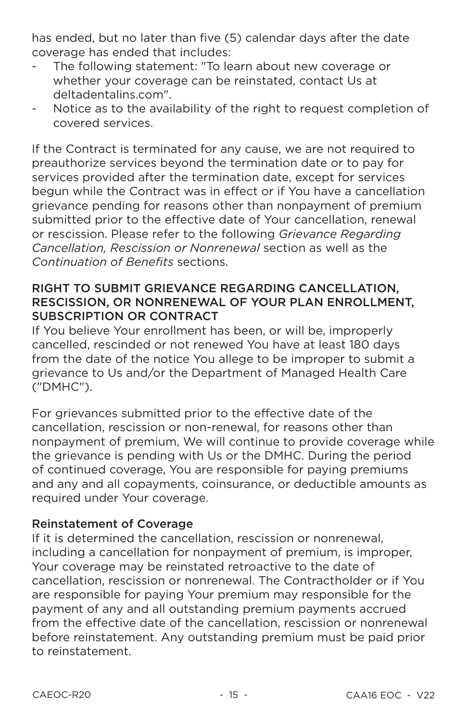has ended, but no later than five (5) calendar days after the date coverage has ended that includes:

- The following statement: "To learn about new coverage or whether your coverage can be reinstated, contact Us at deltadentalins.com".
- Notice as to the availability of the right to request completion of  $\blacksquare$ covered services.

If the Contract is terminated for any cause, we are not required to preauthorize services bevond the termination date or to pay for services provided after the termination date, except for services begun while the Contract was in effect or if You have a cancellation grievance pending for reasons other than nonpayment of premium submitted prior to the effective date of Your cancellation, renewal or rescission. Please refer to the following Grievance Regarding Cancellation, Rescission or Nonrenewal section as well as the Continuation of Benefits sections

#### RIGHT TO SUBMIT GRIEVANCE REGARDING CANCELLATION. RESCISSION, OR NONRENEWAL OF YOUR PLAN ENROLLMENT, **SUBSCRIPTION OR CONTRACT**

If You believe Your enrollment has been, or will be, improperly cancelled, rescinded or not renewed You have at least 180 days from the date of the notice You allege to be improper to submit a grievance to Us and/or the Department of Managed Health Care ("DMHC").

For grievances submitted prior to the effective date of the cancellation, rescission or non-renewal, for reasons other than nonpayment of premium, We will continue to provide coverage while the grievance is pending with Us or the DMHC. During the period of continued coverage. You are responsible for paying premiums and any and all copayments, coinsurance, or deductible amounts as required under Your coverage.

#### **Reinstatement of Coverage**

If it is determined the cancellation, rescission or nonrenewal, including a cancellation for nonpayment of premium, is improper, Your coverage may be reinstated retroactive to the date of cancellation, rescission or nonrenewal. The Contractholder or if You are responsible for paying Your premium may responsible for the payment of any and all outstanding premium payments accrued from the effective date of the cancellation, rescission or nonrenewal before reinstatement. Any outstanding premium must be paid prior to reinstatement.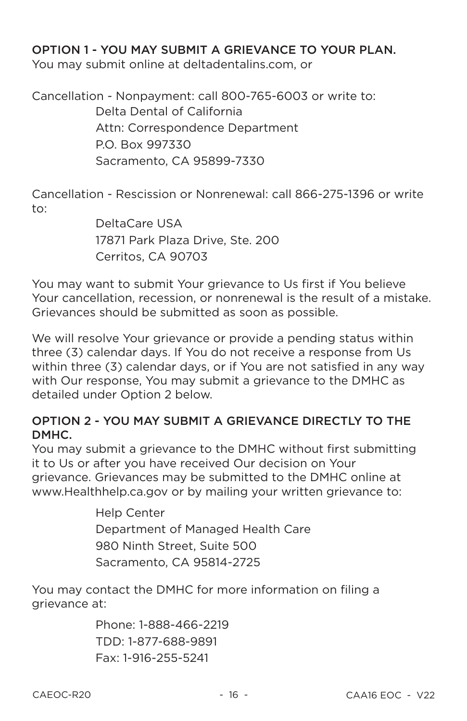#### OPTION 1 - YOU MAY SUBMIT A GRIFVANCE TO YOUR PLAN.

You may submit online at deltadentalins.com, or

Cancellation - Nonpayment: call 800-765-6003 or write to: Delta Dental of California Attn: Correspondence Department P.O. Box 997330 Sacramento, CA 95899-7330

Cancellation - Rescission or Nonrenewal: call 866-275-1396 or write to:

> DeltaCare USA 17871 Park Plaza Drive, Ste. 200 Cerritos, CA 90703

You may want to submit Your grievance to Us first if You believe Your cancellation, recession, or nonrenewal is the result of a mistake. Grievances should be submitted as soon as possible.

We will resolve Your grievance or provide a pending status within three (3) calendar days. If You do not receive a response from Us within three (3) calendar days, or if You are not satisfied in any way with Our response. You may submit a grievance to the DMHC as detailed under Option 2 below.

#### OPTION 2 - YOU MAY SUBMIT A GRIEVANCE DIRECTLY TO THE DMHC.

You may submit a grievance to the DMHC without first submitting it to Us or after you have received Our decision on Your grievance. Grievances may be submitted to the DMHC online at www.Healthhelp.ca.gov or by mailing your written grievance to:

> **Help Center** Department of Managed Health Care 980 Ninth Street, Suite 500 Sacramento, CA 95814-2725

You may contact the DMHC for more information on filing a grievance at:

> Phone: 1-888-466-2219 TDD: 1-877-688-9891 Fax: 1-916-255-5241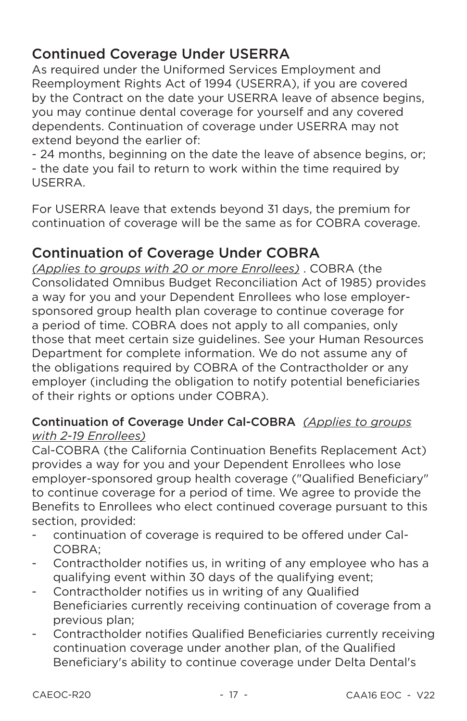# **Continued Coverage Under USERRA**

As required under the Uniformed Services Employment and Reemployment Rights Act of 1994 (USERRA), if you are covered by the Contract on the date your USERRA leave of absence begins, you may continue dental coverage for yourself and any covered dependents. Continuation of coverage under USERRA may not extend beyond the earlier of:

- 24 months, beginning on the date the leave of absence begins, or: - the date you fail to return to work within the time required by USERRA

For USERRA leave that extends beyond 31 days, the premium for continuation of coverage will be the same as for COBRA coverage.

## **Continuation of Coverage Under COBRA**

(Applies to groups with 20 or more Enrollees). COBRA (the Consolidated Omnibus Budget Reconciliation Act of 1985) provides a way for you and your Dependent Enrollees who lose employersponsored group health plan coverage to continue coverage for a period of time. COBRA does not apply to all companies, only those that meet certain size guidelines. See your Human Resources Department for complete information. We do not assume any of the obligations required by COBRA of the Contractholder or any employer (including the obligation to notify potential beneficiaries of their rights or options under COBRA).

## Continuation of Coverage Under Cal-COBRA (Applies to groups with 2-19 Enrollees)

Cal-COBRA (the California Continuation Benefits Replacement Act) provides a way for you and your Dependent Enrollees who lose employer-sponsored group health coverage ("Qualified Beneficiary" to continue coverage for a period of time. We agree to provide the Benefits to Enrollees who elect continued coverage pursuant to this section, provided:

- continuation of coverage is required to be offered under Cal-COBRA:
- Contractholder notifies us, in writing of any employee who has a  $\overline{\phantom{a}}$ qualifying event within 30 days of the qualifying event:
- Contractholder notifies us in writing of any Qualified Beneficiaries currently receiving continuation of coverage from a previous plan:
- Contractholder notifies Qualified Beneficiaries currently receiving  $\blacksquare$ continuation coverage under another plan, of the Qualified Beneficiary's ability to continue coverage under Delta Dental's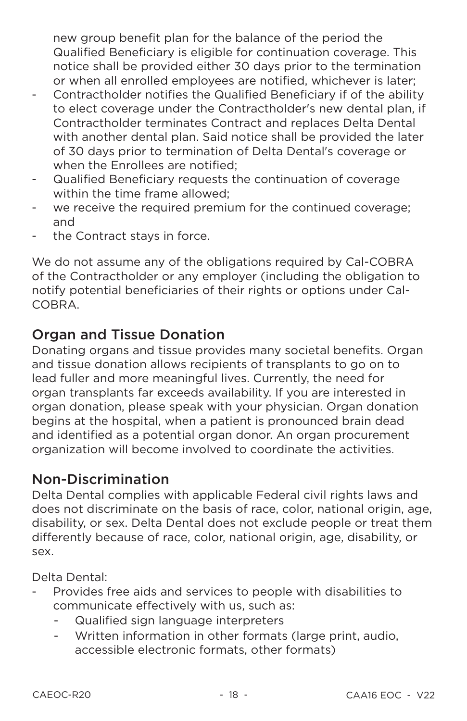new group benefit plan for the balance of the period the Qualified Beneficiary is eligible for continuation coverage. This notice shall be provided either 30 days prior to the termination or when all enrolled emplovees are notified, whichever is later:

- Contractholder notifies the Qualified Beneficiary if of the ability  $\blacksquare$ to elect coverage under the Contractholder's new dental plan, if Contractholder terminates Contract and replaces Delta Dental with another dental plan. Said notice shall be provided the later of 30 days prior to termination of Delta Dental's coverage or when the Enrollees are notified:
- Qualified Beneficiary requests the continuation of coverage  $\overline{\phantom{a}}$ within the time frame allowed:
- we receive the required premium for the continued coverage;  $\overline{\phantom{a}}$ and
- the Contract stays in force.  $\overline{\phantom{a}}$

We do not assume any of the obligations required by Cal-COBRA of the Contractholder or any employer (including the obligation to notify potential beneficiaries of their rights or options under Cal-COBRA

## **Organ and Tissue Donation**

Donating organs and tissue provides many societal benefits. Organ and tissue donation allows recipients of transplants to go on to lead fuller and more meaningful lives. Currently, the need for organ transplants far exceeds availability. If you are interested in organ donation, please speak with your physician. Organ donation begins at the hospital, when a patient is pronounced brain dead and identified as a potential organ donor. An organ procurement organization will become involved to coordinate the activities.

## **Non-Discrimination**

Delta Dental complies with applicable Federal civil rights laws and does not discriminate on the basis of race, color, national origin, age, disability, or sex. Delta Dental does not exclude people or treat them differently because of race, color, national origin, age, disability, or sex.

Delta Dental:

- Provides free aids and services to people with disabilities to communicate effectively with us, such as:
	- Qualified sign language interpreters
	- Written information in other formats (large print, audio. accessible electronic formats, other formats)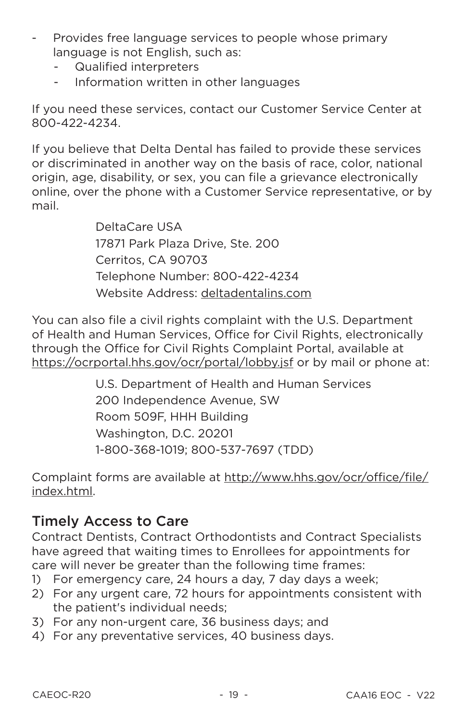- Provides free language services to people whose primary  $\overline{\phantom{a}}$ language is not English, such as:
	- Qualified interpreters
	- Information written in other languages  $\omega_{\rm{max}}$

If you need these services, contact our Customer Service Center at 800-422-4234.

If you believe that Delta Dental has failed to provide these services or discriminated in another way on the basis of race, color, national origin, age, disability, or sex, you can file a grievance electronically online, over the phone with a Customer Service representative, or by mail

> DeltaCare USA 17871 Park Plaza Drive, Ste. 200 Cerritos, CA 90703 Telephone Number: 800-422-4234 Website Address: deltadentalins.com

You can also file a civil rights complaint with the U.S. Department of Health and Human Services, Office for Civil Rights, electronically through the Office for Civil Rights Complaint Portal, available at https://ocrportal.hhs.gov/ocr/portal/lobby.jsf or by mail or phone at:

> U.S. Department of Health and Human Services 200 Independence Avenue, SW Room 509F. HHH Building Washington, D.C. 20201 1-800-368-1019; 800-537-7697 (TDD)

Complaint forms are available at http://www.hhs.gov/ocr/office/file/ index.html.

## **Timely Access to Care**

Contract Dentists, Contract Orthodontists and Contract Specialists have agreed that waiting times to Enrollees for appointments for care will never be greater than the following time frames:

- 1) For emergency care, 24 hours a day, 7 day days a week:
- 2) For any urgent care, 72 hours for appointments consistent with the patient's individual needs:
- 3) For any non-urgent care, 36 business days; and
- 4) For any preventative services, 40 business days.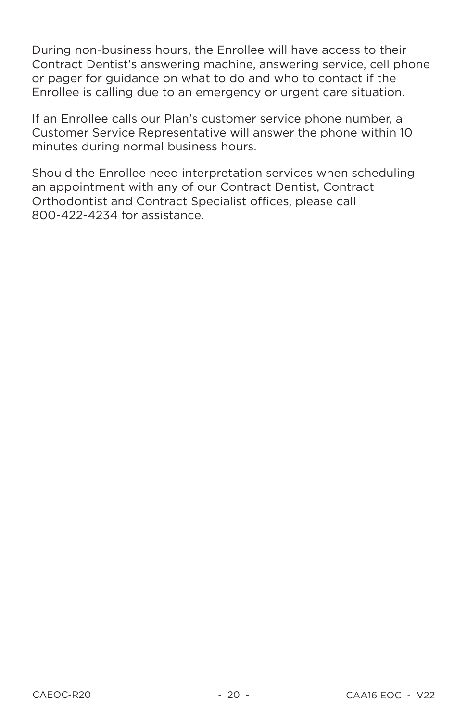During non-business hours, the Enrollee will have access to their Contract Dentist's answering machine, answering service, cell phone or pager for guidance on what to do and who to contact if the Enrollee is calling due to an emergency or urgent care situation.

If an Enrollee calls our Plan's customer service phone number, a Customer Service Representative will answer the phone within 10 minutes during normal business hours.

Should the Enrollee need interpretation services when scheduling an appointment with any of our Contract Dentist, Contract Orthodontist and Contract Specialist offices, please call 800-422-4234 for assistance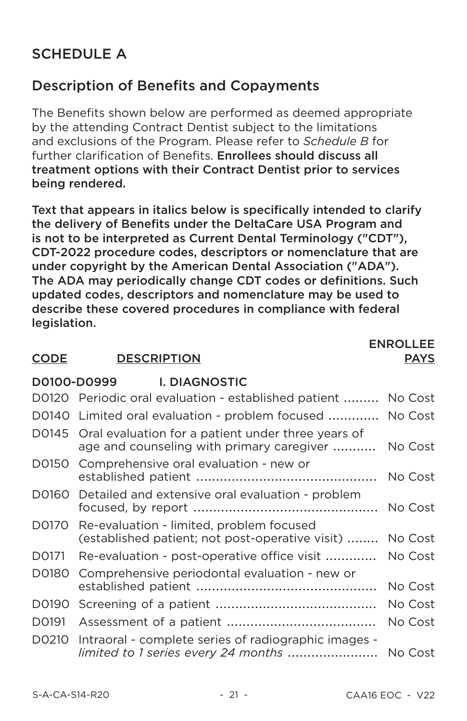# **SCHEDULE A**

## **Description of Benefits and Copayments**

The Benefits shown below are performed as deemed appropriate by the attending Contract Dentist subject to the limitations and exclusions of the Program. Please refer to Schedule B for further clarification of Benefits. Enrollees should discuss all treatment options with their Contract Dentist prior to services being rendered.

Text that appears in italics below is specifically intended to clarify the delivery of Benefits under the DeltaCare USA Program and is not to be interpreted as Current Dental Terminology ("CDT"). CDT-2022 procedure codes, descriptors or nomenclature that are under copyright by the American Dental Association ("ADA"). The ADA may periodically change CDT codes or definitions. Such updated codes, descriptors and nomenclature may be used to describe these covered procedures in compliance with federal legislation.

**I DIACNOSTIC** 

#### **DESCRIPTION CODE**

**DO100-DO999** 

#### **ENROLLEE PAYS**

|         | -----                                                                                                |         |
|---------|------------------------------------------------------------------------------------------------------|---------|
|         | D0120 Periodic oral evaluation - established patient  No Cost                                        |         |
|         | D0140 Limited oral evaluation - problem focused  No Cost                                             |         |
| D0145   | Oral evaluation for a patient under three years of<br>age and counseling with primary caregiver      | No Cost |
| D0150   | Comprehensive oral evaluation - new or                                                               | No Cost |
| D0160 - | Detailed and extensive oral evaluation - problem                                                     | No Cost |
|         | D0170 Re-evaluation - limited, problem focused<br>(established patient; not post-operative visit)    | No Cost |
| D0171   | Re-evaluation - post-operative office visit                                                          | No Cost |
| D0180   | Comprehensive periodontal evaluation - new or                                                        | No Cost |
| D0190   |                                                                                                      | No Cost |
| D0191   |                                                                                                      | No Cost |
| D0210   | Intraoral - complete series of radiographic images -<br>limited to 1 series every 24 months  No Cost |         |
|         |                                                                                                      |         |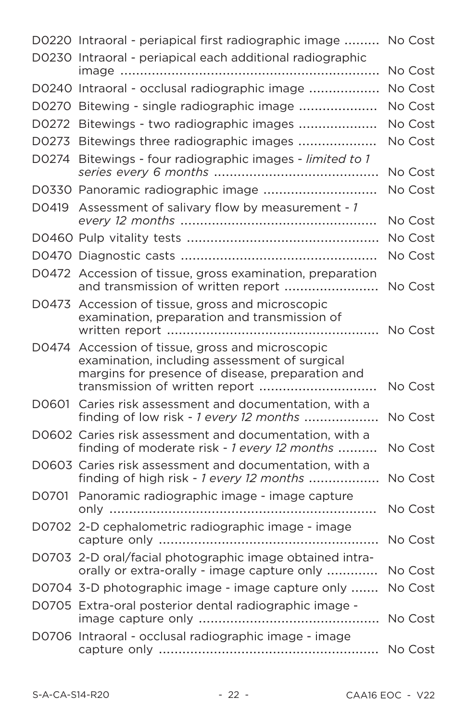|       | D0220 Intraoral - periapical first radiographic image  No Cost<br>D0230 Intraoral - periapical each additional radiographic                     |         |
|-------|-------------------------------------------------------------------------------------------------------------------------------------------------|---------|
|       |                                                                                                                                                 | No Cost |
|       | D0240 Intraoral - occlusal radiographic image                                                                                                   | No Cost |
|       | D0270 Bitewing - single radiographic image                                                                                                      | No Cost |
|       | D0272 Bitewings - two radiographic images                                                                                                       | No Cost |
|       | D0273 Bitewings three radiographic images                                                                                                       | No Cost |
| D0274 | Bitewings - four radiographic images - limited to 1                                                                                             | No Cost |
|       | D0330 Panoramic radiographic image                                                                                                              | No Cost |
| D0419 | Assessment of salivary flow by measurement - 1                                                                                                  | No Cost |
|       |                                                                                                                                                 | No Cost |
|       |                                                                                                                                                 | No Cost |
|       | D0472 Accession of tissue, gross examination, preparation<br>and transmission of written report                                                 | No Cost |
|       | D0473 Accession of tissue, gross and microscopic<br>examination, preparation and transmission of                                                | No Cost |
| D0474 | Accession of tissue, gross and microscopic<br>examination, including assessment of surgical<br>margins for presence of disease, preparation and | No Cost |
|       | D0601 Caries risk assessment and documentation, with a<br>finding of low risk - 1 every 12 months                                               | No Cost |
|       | D0602 Caries risk assessment and documentation, with a<br>finding of moderate risk - 1 every 12 months                                          | No Cost |
|       | D0603 Caries risk assessment and documentation, with a<br>finding of high risk - 1 every 12 months                                              | No Cost |
|       | D0701 Panoramic radiographic image - image capture                                                                                              | No Cost |
|       | D0702 2-D cephalometric radiographic image - image                                                                                              | No Cost |
|       | D0703 2-D oral/facial photographic image obtained intra-<br>orally or extra-orally - image capture only                                         | No Cost |
|       | D0704 3-D photographic image - image capture only                                                                                               | No Cost |
|       | D0705 Extra-oral posterior dental radiographic image -                                                                                          | No Cost |
|       | D0706 Intraoral - occlusal radiographic image - image                                                                                           | No Cost |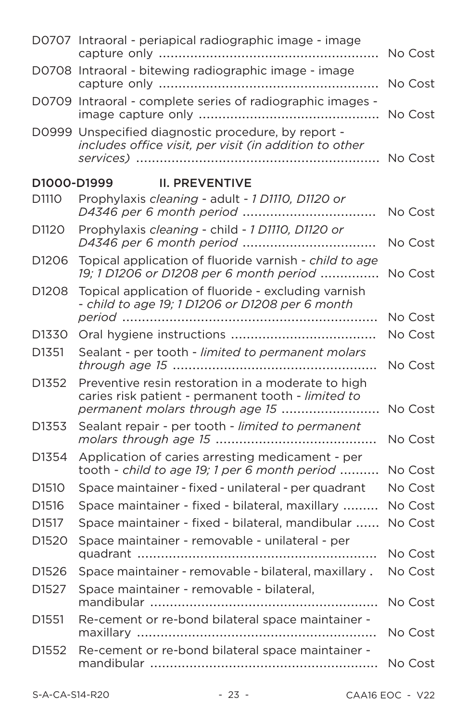|                   | D0707 Intraoral - periapical radiographic image - image                                                                                     | No Cost |
|-------------------|---------------------------------------------------------------------------------------------------------------------------------------------|---------|
|                   | D0708 Intraoral - bitewing radiographic image - image<br>.                                                                                  | No Cost |
|                   | D0709 Intraoral - complete series of radiographic images -                                                                                  | No Cost |
|                   | D0999 Unspecified diagnostic procedure, by report -<br>includes office visit, per visit (in addition to other                               | No Cost |
| D1000-D1999       | <b>II. PREVENTIVE</b>                                                                                                                       |         |
| D1110             | Prophylaxis cleaning - adult - 1 D1110, D1120 or                                                                                            | No Cost |
| D <sub>1120</sub> | Prophylaxis cleaning - child - 1 D1110, D1120 or<br>D4346 per 6 month period                                                                | No Cost |
| D1206             | Topical application of fluoride varnish - child to age<br>19; 1 D1206 or D1208 per 6 month period                                           | No Cost |
| D1208             | Topical application of fluoride - excluding varnish<br>- child to age 19; 1 D1206 or D1208 per 6 month                                      | No Cost |
| D1330             |                                                                                                                                             | No Cost |
| D1351             | Sealant - per tooth - limited to permanent molars                                                                                           | No Cost |
| D1352             | Preventive resin restoration in a moderate to high<br>caries risk patient - permanent tooth - limited to<br>permanent molars through age 15 | No Cost |
| D1353             | Sealant repair - per tooth - limited to permanent                                                                                           | No Cost |
| D1354             | Application of caries arresting medicament - per<br>tooth - child to age 19; 1 per 6 month period                                           | No Cost |
| D1510             | Space maintainer - fixed - unilateral - per quadrant                                                                                        | No Cost |
| D1516             | Space maintainer - fixed - bilateral, maxillary                                                                                             | No Cost |
| D1517             | Space maintainer - fixed - bilateral, mandibular                                                                                            | No Cost |
| D1520             | Space maintainer - removable - unilateral - per                                                                                             | No Cost |
| D1526             | Space maintainer - removable - bilateral, maxillary.                                                                                        | No Cost |
| D1527             | Space maintainer - removable - bilateral,                                                                                                   | No Cost |
| D <sub>1551</sub> | Re-cement or re-bond bilateral space maintainer -                                                                                           | No Cost |
| D <sub>1552</sub> | Re-cement or re-bond bilateral space maintainer -                                                                                           | No Cost |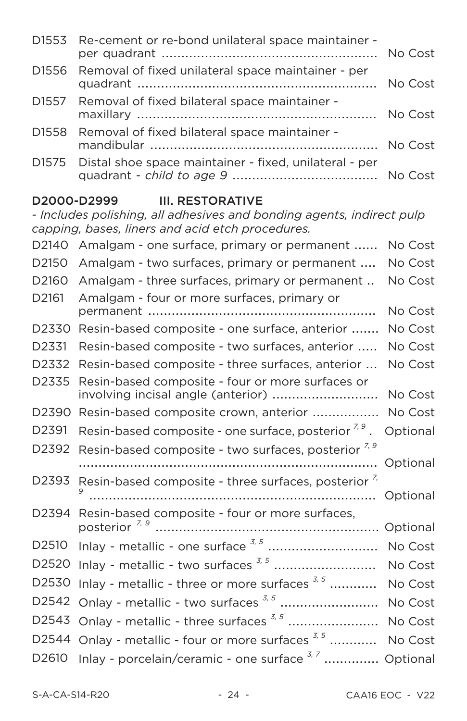| D1553 Re-cement or re-bond unilateral space maintainer -     |         |
|--------------------------------------------------------------|---------|
| D1556 Removal of fixed unilateral space maintainer - per     | No Cost |
| D1557 Removal of fixed bilateral space maintainer -          |         |
| D1558 Removal of fixed bilateral space maintainer -          |         |
| D1575 Distal shoe space maintainer - fixed, unilateral - per |         |

# D2000-D2999 **III. RESTORATIVE**<br>- Includes polishing, all adhesives and bonding agents, indirect pult

|                   | - Includes polishing, all adhesives and bonding agents, indirect pulp                                                                                                                                                                                                                                                                  |          |
|-------------------|----------------------------------------------------------------------------------------------------------------------------------------------------------------------------------------------------------------------------------------------------------------------------------------------------------------------------------------|----------|
|                   | capping, bases, liners and acid etch procedures.                                                                                                                                                                                                                                                                                       |          |
| D2140             | Amalgam - one surface, primary or permanent                                                                                                                                                                                                                                                                                            | No Cost  |
| D2150             | Amalgam - two surfaces, primary or permanent                                                                                                                                                                                                                                                                                           | No Cost  |
| D2160             | Amalgam - three surfaces, primary or permanent                                                                                                                                                                                                                                                                                         | No Cost  |
| D2161             | Amalgam - four or more surfaces, primary or                                                                                                                                                                                                                                                                                            | No Cost  |
| D2330             | Resin-based composite - one surface, anterior                                                                                                                                                                                                                                                                                          | No Cost  |
| D2331             | Resin-based composite - two surfaces, anterior                                                                                                                                                                                                                                                                                         | No Cost  |
| D2332             | Resin-based composite - three surfaces, anterior                                                                                                                                                                                                                                                                                       | No Cost  |
| D2335             | Resin-based composite - four or more surfaces or                                                                                                                                                                                                                                                                                       | No Cost  |
| D2390             | Resin-based composite crown, anterior                                                                                                                                                                                                                                                                                                  | No Cost  |
| D2391             | Resin-based composite - one surface, posterior $7,9$ .                                                                                                                                                                                                                                                                                 | Optional |
| D2392             | Resin-based composite - two surfaces, posterior <sup>7, 9</sup>                                                                                                                                                                                                                                                                        | Optional |
| D2393             | Resin-based composite - three surfaces, posterior <sup>1</sup>                                                                                                                                                                                                                                                                         | Optional |
| D2394             | Resin-based composite - four or more surfaces,                                                                                                                                                                                                                                                                                         | Optional |
| D <sub>2510</sub> |                                                                                                                                                                                                                                                                                                                                        | No Cost  |
| D2520             |                                                                                                                                                                                                                                                                                                                                        | No Cost  |
| D2530             | Inlay - metallic - three or more surfaces $3, 5, \ldots$                                                                                                                                                                                                                                                                               | No Cost  |
| D2542             | Onlay - metallic - two surfaces <sup>3,5</sup>                                                                                                                                                                                                                                                                                         |          |
|                   |                                                                                                                                                                                                                                                                                                                                        | No Cost  |
| D2543             | Onlay - metallic - three surfaces $3, 5, \ldots, 3, 3, \ldots, 3, \ldots, 3, \ldots, 3, \ldots, 3, \ldots, 3, \ldots, 3, \ldots, 3, \ldots, 3, \ldots, 3, \ldots, 3, \ldots, 3, \ldots, 3, \ldots, 3, \ldots, 3, \ldots, 3, \ldots, 3, \ldots, 3, \ldots, 3, \ldots, 3, \ldots, 3, \ldots, 3, \ldots, 3, \ldots, 3, \ldots, 3, \ldots$ | No Cost  |
| D2544             | Onlay - metallic - four or more surfaces 3, 5                                                                                                                                                                                                                                                                                          | No Cost  |
| D <sub>2610</sub> | Inlay - porcelain/ceramic - one surface <sup>3, 7</sup>                                                                                                                                                                                                                                                                                | Optional |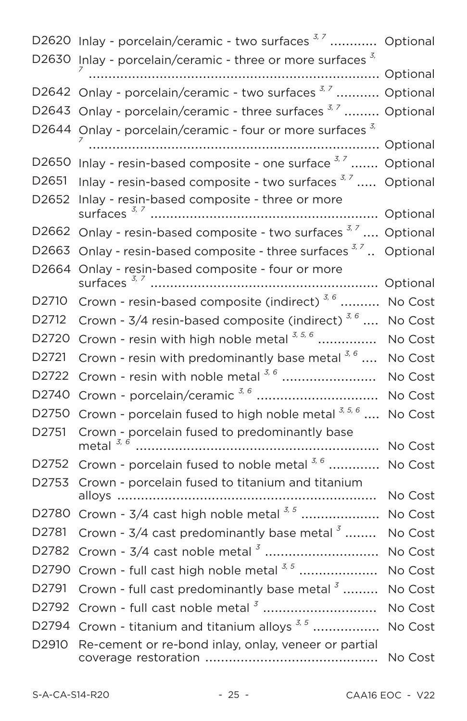|                   | D2620 Inlay - porcelain/ceramic - two surfaces <sup>3,7</sup> Optional     |         |
|-------------------|----------------------------------------------------------------------------|---------|
|                   | D2630 Inlay - porcelain/ceramic - three or more surfaces 3,                |         |
|                   | D2642 Onlay - porcelain/ceramic - two surfaces <sup>3,7</sup> Optional     |         |
|                   | D2643 Onlay - porcelain/ceramic - three surfaces <sup>3,7</sup> Optional   |         |
|                   | D2644 Onlay - porcelain/ceramic - four or more surfaces 3,                 |         |
|                   |                                                                            |         |
|                   | D2650 Inlay - resin-based composite - one surface 3,7  Optional            |         |
| D <sub>2651</sub> | Inlay - resin-based composite - two surfaces $3,7, \ldots$ Optional        |         |
| D <sub>2652</sub> | Inlay - resin-based composite - three or more                              |         |
|                   | D2662 Onlay - resin-based composite - two surfaces <sup>3,7</sup> Optional |         |
| D2663             | Onlay - resin-based composite - three surfaces 3,7 Optional                |         |
| D2664             | Onlay - resin-based composite - four or more                               |         |
|                   |                                                                            |         |
| D <sub>2710</sub> | Crown - resin-based composite (indirect) <sup>3,6</sup>                    | No Cost |
| D2712             | Crown - $3/4$ resin-based composite (indirect) $3/6$                       | No Cost |
| D <sub>2720</sub> | Crown - resin with high noble metal $3, 5, 6$                              | No Cost |
| D2721             | Crown - resin with predominantly base metal $3, 6, \ldots$                 | No Cost |
| D2722             | Crown - resin with noble metal $3, 6$                                      | No Cost |
| D <sub>2740</sub> | Crown - porcelain/ceramic 3, 6                                             | No Cost |
| D <sub>2750</sub> | Crown - porcelain fused to high noble metal $3, 5, 6, \ldots$              | No Cost |
| D2751             | Crown - porcelain fused to predominantly base<br>metal $3, 6$              | No Cost |
| D2752             | Crown - porcelain fused to noble metal 3, 6                                | No Cost |
| D2753             | Crown - porcelain fused to titanium and titanium                           |         |
|                   |                                                                            | No Cost |
| D2780             | Crown - 3/4 cast high noble metal 3,5                                      | No Cost |
| D2781             | Crown - $3/4$ cast predominantly base metal $3$                            | No Cost |
| D2782             |                                                                            | No Cost |
| D2790             | Crown - full cast high noble metal 3, 5                                    | No Cost |
| D <sub>2791</sub> | Crown - full cast predominantly base metal 3                               | No Cost |
| D2792             | Crown - full cast noble metal <sup>3</sup>                                 | No Cost |
| D2794             | Crown - titanium and titanium alloys $^{3,5}$                              | No Cost |
| D <sub>2910</sub> | Re-cement or re-bond inlay, onlay, veneer or partial                       | No Cost |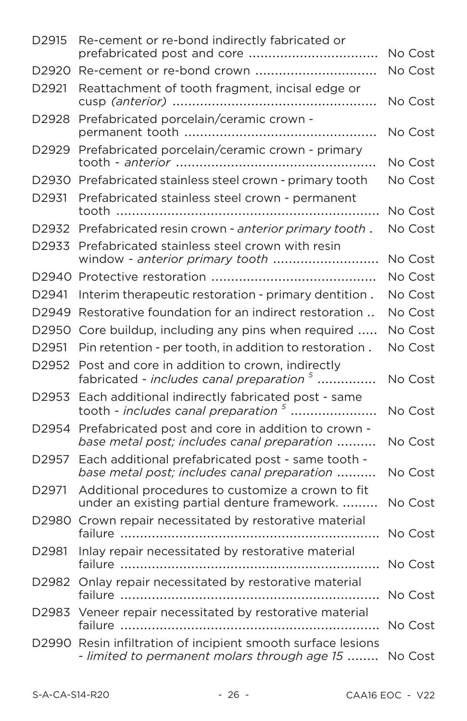| D2915             | Re-cement or re-bond indirectly fabricated or                                                          | No Cost |
|-------------------|--------------------------------------------------------------------------------------------------------|---------|
| D2920             |                                                                                                        | No Cost |
| D2921             | Reattachment of tooth fragment, incisal edge or                                                        | No Cost |
| D2928             | Prefabricated porcelain/ceramic crown -                                                                | No Cost |
| D2929             | Prefabricated porcelain/ceramic crown - primary                                                        | No Cost |
|                   | D2930 Prefabricated stainless steel crown - primary tooth                                              | No Cost |
| D2931             | Prefabricated stainless steel crown - permanent                                                        | No Cost |
| D2932             | Prefabricated resin crown - anterior primary tooth.                                                    | No Cost |
| D2933             | Prefabricated stainless steel crown with resin<br>window - anterior primary tooth                      | No Cost |
| D2940             |                                                                                                        | No Cost |
| D2941             | Interim therapeutic restoration - primary dentition.                                                   | No Cost |
| D2949             | Restorative foundation for an indirect restoration                                                     | No Cost |
| D <sub>2950</sub> | Core buildup, including any pins when required                                                         | No Cost |
| D2951             | Pin retention - per tooth, in addition to restoration.                                                 | No Cost |
| D2952             | Post and core in addition to crown, indirectly<br>fabricated - includes canal preparation <sup>5</sup> | No Cost |
| D2953             | Each additional indirectly fabricated post - same<br>tooth - includes canal preparation $5$            | No Cost |
| D2954             | Prefabricated post and core in addition to crown -<br>base metal post; includes canal preparation      | No Cost |
| D <sub>2957</sub> | Each additional prefabricated post - same tooth -<br>base metal post; includes canal preparation       | No Cost |
| D2971             | Additional procedures to customize a crown to fit<br>under an existing partial denture framework.      | No Cost |
| D2980             | Crown repair necessitated by restorative material<br>failure                                           | No Cost |
| D2981             | Inlay repair necessitated by restorative material                                                      |         |
| D2982             | Onlay repair necessitated by restorative material                                                      | No Cost |
|                   | D2983 Veneer repair necessitated by restorative material<br>failure                                    | No Cost |
| D2990             | Resin infiltration of incipient smooth surface lesions<br>- limited to permanent molars through age 15 | No Cost |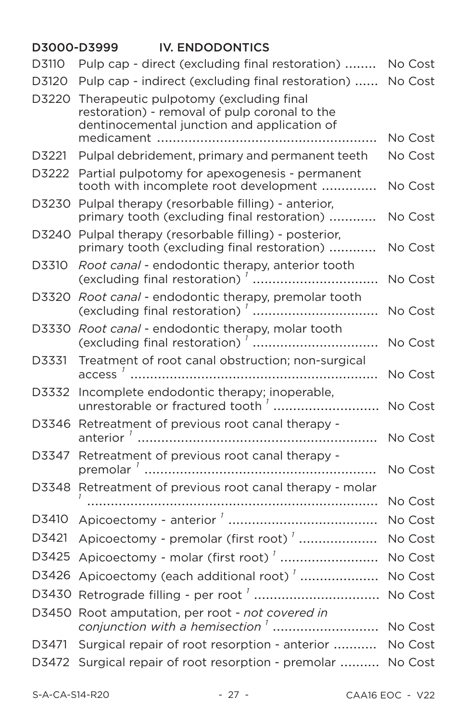#### D3000-D3999 **IV. ENDODONTICS** Pulp cap - direct (excluding final restoration) ........ No Cost D3110 D3120 Pulp cap - indirect (excluding final restoration) ...... No Cost D3220 Therapeutic pulpotomy (excluding final restoration) - removal of pulp coronal to the dentinocemental junction and application of No Cost Pulpal debridement, primary and permanent teeth D3221 No Cost D3222 Partial pulpotomy for apexogenesis - permanent tooth with incomplete root development ............. No Cost D3230 Pulpal therapy (resorbable filling) - anterior, primary tooth (excluding final restoration) ........... No Cost D3240 Pulpal therapy (resorbable filling) - posterior, primary tooth (excluding final restoration) ........... No Cost Root canal - endodontic therapy, anterior tooth D3310 No Cost D3320 Root canal - endodontic therapy, premolar tooth No Cost D3330 Root canal - endodontic therapy, molar tooth No Cost Treatment of root canal obstruction: non-surgical D3331 No Cost D3332 Incomplete endodontic therapy; inoperable, unrestorable or fractured tooth<sup>7</sup> ................................. No Cost D3346 Retreatment of previous root canal therapy -No Cost Retreatment of previous root canal therapy -D3347 No Cost D3348 Retreatment of previous root canal therapy - molar No Cost No Cost D3421 Apicoectomy - premolar (first root)<sup>'</sup> .................... No Cost D3425 Apicoectomy - molar (first root)<sup>'</sup> .......................... No Cost D3426 Apicoectomy (each additional root)<sup>'</sup> ..................... No Cost D3430 Retrograde filling - per root<sup>'</sup> ................................... No Cost D3450 Root amputation, per root - not covered in conjunction with a hemisection<sup>1</sup> ................................ No Cost D3471 Surgical repair of root resorption - anterior ........... No Cost D3472 Surgical repair of root resorption - premolar .......... No Cost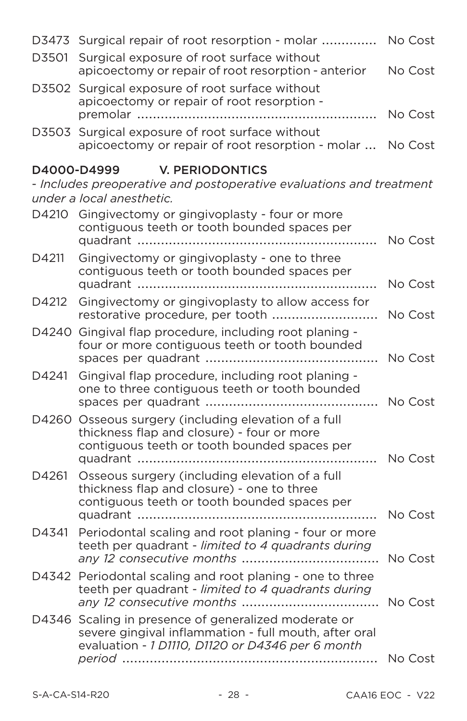|       | D3473 Surgical repair of root resorption - molar  No Cost                                                                                                         |         |
|-------|-------------------------------------------------------------------------------------------------------------------------------------------------------------------|---------|
| D3501 | Surgical exposure of root surface without<br>apicoectomy or repair of root resorption - anterior                                                                  | No Cost |
|       | D3502 Surgical exposure of root surface without<br>apicoectomy or repair of root resorption -                                                                     | No Cost |
|       | D3503 Surgical exposure of root surface without<br>apicoectomy or repair of root resorption - molar  No Cost                                                      |         |
|       | D4000-D4999<br>V. PERIODONTICS<br>- Includes preoperative and postoperative evaluations and treatment<br>under a local anesthetic.                                |         |
|       | D4210 Gingivectomy or gingivoplasty - four or more<br>contiguous teeth or tooth bounded spaces per                                                                | No Cost |
| D4211 | Gingivectomy or gingivoplasty - one to three<br>contiguous teeth or tooth bounded spaces per                                                                      | No Cost |
| D4212 | Gingivectomy or gingivoplasty to allow access for                                                                                                                 | No Cost |
|       | D4240 Gingival flap procedure, including root planing -<br>four or more contiguous teeth or tooth bounded                                                         |         |
| D4241 | Gingival flap procedure, including root planing -<br>one to three contiguous teeth or tooth bounded                                                               |         |
|       | D4260 Osseous surgery (including elevation of a full<br>thickness flap and closure) - four or more<br>contiguous teeth or tooth bounded spaces per                |         |
| D4261 | Osseous surgery (including elevation of a full<br>thickness flap and closure) - one to three<br>contiguous teeth or tooth bounded spaces per                      | No Cost |
| D4341 | Periodontal scaling and root planing - four or more<br>teeth per quadrant - limited to 4 quadrants during                                                         | No Cost |
|       | D4342 Periodontal scaling and root planing - one to three<br>teeth per quadrant - limited to 4 quadrants during                                                   | No Cost |
|       | D4346 Scaling in presence of generalized moderate or<br>severe gingival inflammation - full mouth, after oral<br>evaluation - 1 D1110, D1120 or D4346 per 6 month |         |
|       |                                                                                                                                                                   | No Cost |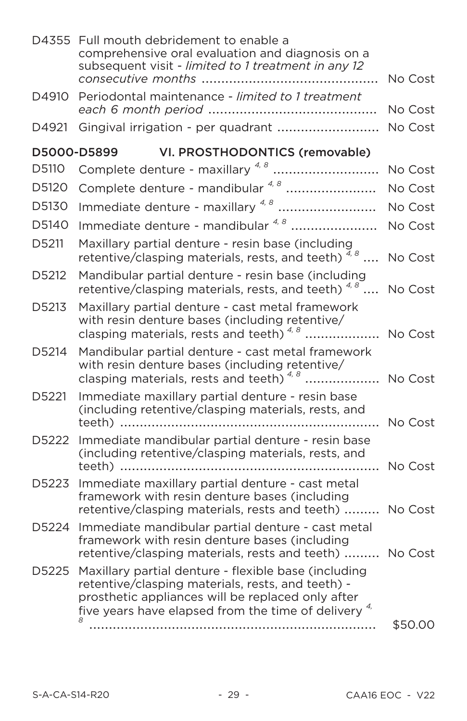|       | D4355 Full mouth debridement to enable a<br>comprehensive oral evaluation and diagnosis on a<br>subsequent visit - limited to 1 treatment in any 12                                                                        | No Cost |
|-------|----------------------------------------------------------------------------------------------------------------------------------------------------------------------------------------------------------------------------|---------|
| D4910 | Periodontal maintenance - limited to 1 treatment                                                                                                                                                                           | No Cost |
| D4921 | Gingival irrigation - per quadrant                                                                                                                                                                                         | No Cost |
|       | D5000-D5899<br>VI. PROSTHODONTICS (removable)                                                                                                                                                                              |         |
| D5110 | Complete denture - maxillary <sup>4,8</sup>                                                                                                                                                                                | No Cost |
| D5120 | Complete denture - mandibular 4, 8                                                                                                                                                                                         | No Cost |
| D5130 | Immediate denture - maxillary <sup>4,8</sup>                                                                                                                                                                               | No Cost |
| D5140 | Immediate denture - mandibular 4, 8                                                                                                                                                                                        | No Cost |
| D5211 | Maxillary partial denture - resin base (including<br>retentive/clasping materials, rests, and teeth) $\frac{7}{4}$ $\frac{8}{11}$                                                                                          | No Cost |
| D5212 | Mandibular partial denture - resin base (including<br>retentive/clasping materials, rests, and teeth) $4.8$                                                                                                                | No Cost |
| D5213 | Maxillary partial denture - cast metal framework<br>with resin denture bases (including retentive/<br>clasping materials, rests and teeth) <sup>4,8</sup> No Cost                                                          |         |
| D5214 | Mandibular partial denture - cast metal framework<br>with resin denture bases (including retentive/<br>clasping materials, rests and teeth) <sup>4,8</sup>                                                                 | No Cost |
| D5221 | Immediate maxillary partial denture - resin base<br>(including retentive/clasping materials, rests, and                                                                                                                    |         |
| D5222 | Immediate mandibular partial denture - resin base<br>(including retentive/clasping materials, rests, and                                                                                                                   | No Cost |
| D5223 | Immediate maxillary partial denture - cast metal<br>framework with resin denture bases (including<br>retentive/clasping materials, rests and teeth)                                                                        | No Cost |
| D5224 | Immediate mandibular partial denture - cast metal<br>framework with resin denture bases (including<br>retentive/clasping materials, rests and teeth)  No Cost                                                              |         |
| D5225 | Maxillary partial denture - flexible base (including<br>retentive/clasping materials, rests, and teeth) -<br>prosthetic appliances will be replaced only after<br>five years have elapsed from the time of delivery $4\pi$ |         |
|       |                                                                                                                                                                                                                            | \$50.00 |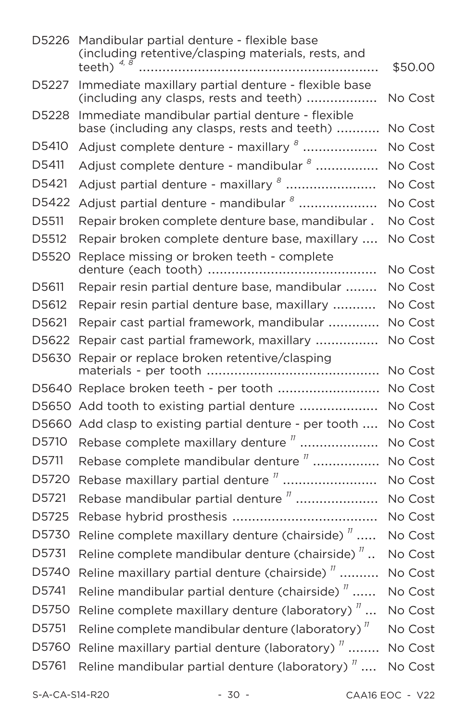| D5226 | Mandibular partial denture - flexible base<br>(including retentive/clasping materials, rests, and<br>teeth) $4, 8$ | \$50.00 |
|-------|--------------------------------------------------------------------------------------------------------------------|---------|
| D5227 | Immediate maxillary partial denture - flexible base<br>(including any clasps, rests and teeth)                     | No Cost |
| D5228 | Immediate mandibular partial denture - flexible<br>base (including any clasps, rests and teeth)                    | No Cost |
| D5410 | Adjust complete denture - maxillary <sup>8</sup>                                                                   | No Cost |
| D5411 | Adjust complete denture - mandibular <sup>8</sup>                                                                  | No Cost |
| D5421 | Adjust partial denture - maxillary <sup>8</sup>                                                                    | No Cost |
| D5422 | Adjust partial denture - mandibular <sup>8</sup>                                                                   | No Cost |
| D5511 | Repair broken complete denture base, mandibular.                                                                   | No Cost |
| D5512 | Repair broken complete denture base, maxillary                                                                     | No Cost |
| D5520 | Replace missing or broken teeth - complete                                                                         | No Cost |
| D5611 | Repair resin partial denture base, mandibular                                                                      | No Cost |
| D5612 | Repair resin partial denture base, maxillary                                                                       | No Cost |
| D5621 | Repair cast partial framework, mandibular                                                                          | No Cost |
| D5622 | Repair cast partial framework, maxillary                                                                           | No Cost |
| D5630 | Repair or replace broken retentive/clasping                                                                        | No Cost |
|       | D5640 Replace broken teeth - per tooth                                                                             | No Cost |
| D5650 | Add tooth to existing partial denture                                                                              | No Cost |
| D5660 | Add clasp to existing partial denture - per tooth                                                                  | No Cost |
| D5710 | Rebase complete maxillary denture $\frac{n}{m}$                                                                    | No Cost |
| D5711 | Rebase complete mandibular denture "                                                                               | No Cost |
| D5720 | Rebase maxillary partial denture "                                                                                 | No Cost |
| D5721 | Rebase mandibular partial denture <sup>"</sup>                                                                     | No Cost |
| D5725 |                                                                                                                    | No Cost |
| D5730 | Reline complete maxillary denture (chairside) $^{\prime\prime}$                                                    | No Cost |
| D5731 | Reline complete mandibular denture (chairside) $^{\prime\prime}$                                                   | No Cost |
| D5740 | Reline maxillary partial denture (chairside) $^{\prime\prime}$                                                     | No Cost |
| D5741 | Reline mandibular partial denture (chairside) $^{\prime\prime}$                                                    | No Cost |
| D5750 | Reline complete maxillary denture (laboratory) $^{\prime\prime}$                                                   | No Cost |
| D5751 | Reline complete mandibular denture (laboratory) <sup>"</sup>                                                       | No Cost |
| D5760 | Reline maxillary partial denture (laboratory) <sup>"</sup>                                                         | No Cost |
| D5761 | Reline mandibular partial denture (laboratory) $^{\prime\prime}$                                                   | No Cost |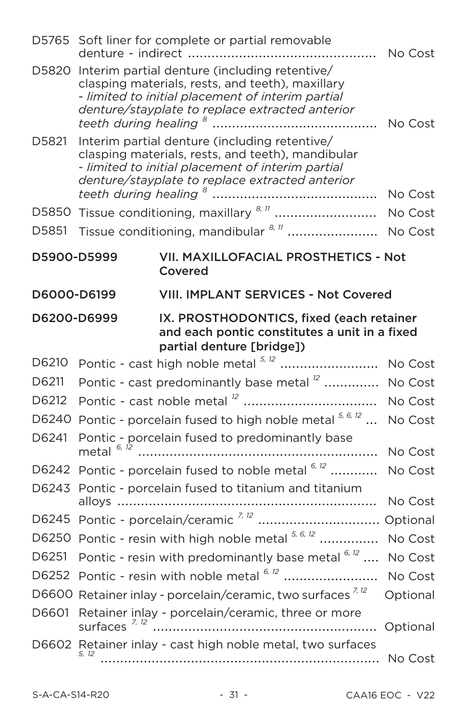|             |                                                                                                                                                                                                            | D5765 Soft liner for complete or partial removable                                                                                                                                                        |          |
|-------------|------------------------------------------------------------------------------------------------------------------------------------------------------------------------------------------------------------|-----------------------------------------------------------------------------------------------------------------------------------------------------------------------------------------------------------|----------|
| D5820       |                                                                                                                                                                                                            | Interim partial denture (including retentive/<br>clasping materials, rests, and teeth), maxillary<br>- limited to initial placement of interim partial<br>denture/stayplate to replace extracted anterior |          |
| D5821       | Interim partial denture (including retentive/<br>clasping materials, rests, and teeth), mandibular<br>- limited to initial placement of interim partial<br>denture/stayplate to replace extracted anterior |                                                                                                                                                                                                           |          |
|             |                                                                                                                                                                                                            | D5850 Tissue conditioning, maxillary 8, 77  No Cost                                                                                                                                                       |          |
| D5851       |                                                                                                                                                                                                            | Tissue conditioning, mandibular 8, 11  No Cost                                                                                                                                                            |          |
| D5900-D5999 |                                                                                                                                                                                                            | VII. MAXILLOFACIAL PROSTHETICS - Not<br>Covered                                                                                                                                                           |          |
| D6000-D6199 |                                                                                                                                                                                                            | <b>VIII. IMPLANT SERVICES - Not Covered</b>                                                                                                                                                               |          |
| D6200-D6999 |                                                                                                                                                                                                            | IX. PROSTHODONTICS, fixed (each retainer<br>and each pontic constitutes a unit in a fixed<br>partial denture [bridge])                                                                                    |          |
| D6210       |                                                                                                                                                                                                            | Pontic - cast high noble metal 5, 12                                                                                                                                                                      | No Cost  |
| D6211       |                                                                                                                                                                                                            | Pontic - cast predominantly base metal <sup>12</sup> No Cost                                                                                                                                              |          |
| D6212       |                                                                                                                                                                                                            |                                                                                                                                                                                                           | No Cost  |
| D6240       |                                                                                                                                                                                                            | Pontic - porcelain fused to high noble metal $^{5,6,12}$                                                                                                                                                  | No Cost  |
| D6241       |                                                                                                                                                                                                            | Pontic - porcelain fused to predominantly base                                                                                                                                                            | No Cost  |
|             |                                                                                                                                                                                                            | D6242 Pontic - porcelain fused to noble metal 6, 12                                                                                                                                                       | No Cost  |
|             |                                                                                                                                                                                                            | D6243 Pontic - porcelain fused to titanium and titanium                                                                                                                                                   |          |
|             |                                                                                                                                                                                                            |                                                                                                                                                                                                           | No Cost  |
|             |                                                                                                                                                                                                            |                                                                                                                                                                                                           |          |
|             |                                                                                                                                                                                                            | D6250 Pontic - resin with high noble metal 5, 6, 12  No Cost                                                                                                                                              |          |
| D6251       |                                                                                                                                                                                                            | Pontic - resin with predominantly base metal $6,12$                                                                                                                                                       | No Cost  |
|             |                                                                                                                                                                                                            | D6252 Pontic - resin with noble metal 6,12  No Cost                                                                                                                                                       |          |
|             |                                                                                                                                                                                                            |                                                                                                                                                                                                           |          |
|             |                                                                                                                                                                                                            | D6600 Retainer inlay - porcelain/ceramic, two surfaces <sup>7,12</sup>                                                                                                                                    | Optional |
| D6601       | surfaces <sup>7, 12</sup>                                                                                                                                                                                  | Retainer inlay - porcelain/ceramic, three or more<br>D6602 Retainer inlay - cast high noble metal, two surfaces                                                                                           | Optional |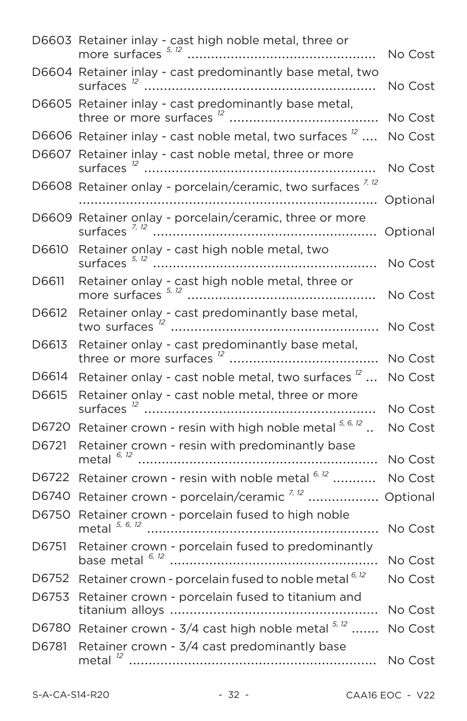|       | D6603 Retainer inlay - cast high noble metal, three or                   | No Cost  |
|-------|--------------------------------------------------------------------------|----------|
|       | D6604 Retainer inlay - cast predominantly base metal, two                | No Cost  |
|       | D6605 Retainer inlay - cast predominantly base metal,                    | No Cost  |
|       | D6606 Retainer inlay - cast noble metal, two surfaces $^{12}$            | No Cost  |
|       | D6607 Retainer inlay - cast noble metal, three or more                   | No Cost  |
|       | D6608 Retainer onlay - porcelain/ceramic, two surfaces <sup>7,12</sup>   | Optional |
| D6609 | Retainer onlay - porcelain/ceramic, three or more                        | Optional |
| D6610 | Retainer onlay - cast high noble metal, two                              | No Cost  |
| D6611 | Retainer onlay - cast high noble metal, three or                         | No Cost  |
| D6612 | Retainer onlay - cast predominantly base metal,                          | No Cost  |
| D6613 | Retainer onlay - cast predominantly base metal,                          | No Cost  |
| D6614 | Retainer onlay - cast noble metal, two surfaces $^{12}$                  | No Cost  |
| D6615 | Retainer onlay - cast noble metal, three or more                         | No Cost  |
| D6720 | Retainer crown - resin with high noble metal $^{5, 6, 12}$               | No Cost  |
| D6721 | Retainer crown - resin with predominantly base<br>metal <sup>6, 12</sup> | No Cost  |
| D6722 | Retainer crown - resin with noble metal <sup>6, 12</sup>                 | No Cost  |
| D6740 | Retainer crown - porcelain/ceramic <sup>7,12</sup>                       | Optional |
| D6750 | Retainer crown - porcelain fused to high noble<br>metal $5, 6, 12$       |          |
| D6751 | Retainer crown - porcelain fused to predominantly<br>base metal 6, 12    | No Cost  |
| D6752 | Retainer crown - porcelain fused to noble metal 6, 12                    | No Cost  |
| D6753 | Retainer crown - porcelain fused to titanium and                         | No Cost  |
| D6780 | Retainer crown - $3/4$ cast high noble metal $5.12$                      | No Cost  |
| D6781 | Retainer crown - 3/4 cast predominantly base                             | No Cost  |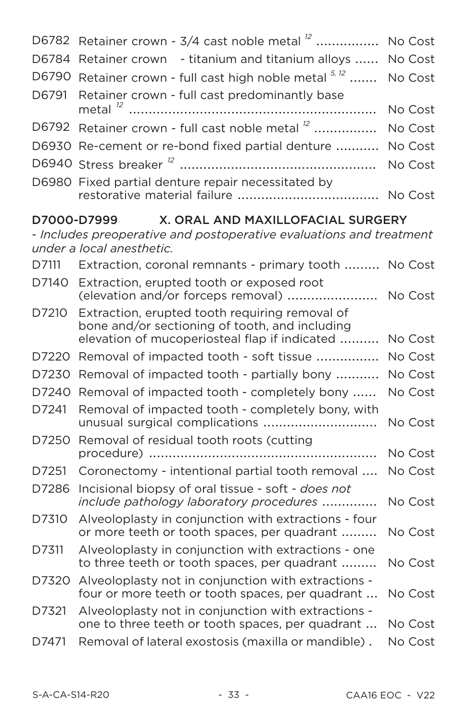| D6782       | Retainer crown - 3/4 cast noble metal <sup>12</sup>                                                                                               | No Cost |
|-------------|---------------------------------------------------------------------------------------------------------------------------------------------------|---------|
| D6784       | Retainer crown - titanium and titanium alloys                                                                                                     | No Cost |
| D6790       | Retainer crown - full cast high noble metal 5, 12                                                                                                 | No Cost |
| D6791       | Retainer crown - full cast predominantly base                                                                                                     |         |
|             |                                                                                                                                                   | No Cost |
| D6792       | Retainer crown - full cast noble metal <sup>12</sup>                                                                                              | No Cost |
|             | D6930 Re-cement or re-bond fixed partial denture                                                                                                  | No Cost |
|             |                                                                                                                                                   | No Cost |
|             | D6980 Fixed partial denture repair necessitated by                                                                                                | No Cost |
| D7000-D7999 | X. ORAL AND MAXILLOFACIAL SURGERY                                                                                                                 |         |
|             | - Includes preoperative and postoperative evaluations and treatment<br>under a local anesthetic.                                                  |         |
| D7111       | Extraction, coronal remnants - primary tooth  No Cost                                                                                             |         |
| D7140       | Extraction, erupted tooth or exposed root<br>(elevation and/or forceps removal)                                                                   | No Cost |
| D7210       | Extraction, erupted tooth requiring removal of<br>bone and/or sectioning of tooth, and including<br>elevation of mucoperiosteal flap if indicated | No Cost |
| D7220       | Removal of impacted tooth - soft tissue                                                                                                           | No Cost |
| D7230       | Removal of impacted tooth - partially bony                                                                                                        | No Cost |
| D7240       | Removal of impacted tooth - completely bony                                                                                                       | No Cost |
| D7241       | Removal of impacted tooth - completely bony, with<br>unusual surgical complications                                                               | No Cost |
| D7250       | Removal of residual tooth roots (cutting                                                                                                          | No Cost |
| D7251       | Coronectomy - intentional partial tooth removal                                                                                                   | No Cost |
| D7286       | Incisional biopsy of oral tissue - soft - does not<br>include pathology laboratory procedures                                                     | No Cost |
| D7310       | Alveoloplasty in conjunction with extractions - four<br>or more teeth or tooth spaces, per quadrant                                               | No Cost |
| D7311       | Alveoloplasty in conjunction with extractions - one<br>to three teeth or tooth spaces, per quadrant                                               | No Cost |
| D7320       | Alveoloplasty not in conjunction with extractions -<br>four or more teeth or tooth spaces, per quadrant                                           | No Cost |
| D7321       | Alveoloplasty not in conjunction with extractions -<br>one to three teeth or tooth spaces, per quadrant                                           | No Cost |
| D7471       | Removal of lateral exostosis (maxilla or mandible).                                                                                               | No Cost |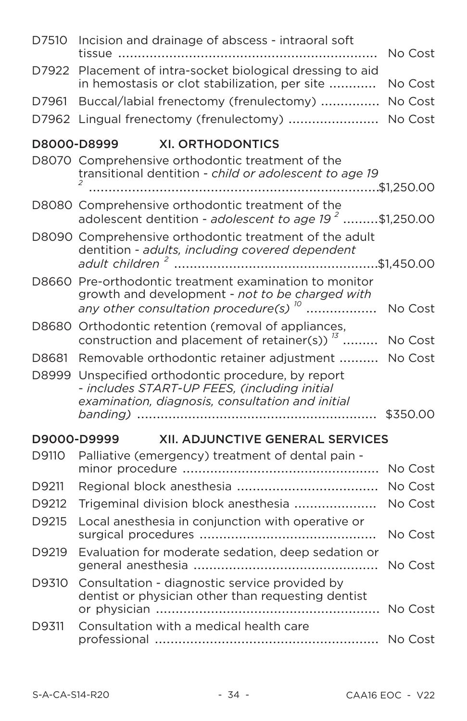| D7510 | Incision and drainage of abscess - intraoral soft                                                                                                        | No Cost  |
|-------|----------------------------------------------------------------------------------------------------------------------------------------------------------|----------|
| D7922 | Placement of intra-socket biological dressing to aid<br>in hemostasis or clot stabilization, per site                                                    | No Cost  |
| D7961 | Buccal/labial frenectomy (frenulectomy)                                                                                                                  | No Cost  |
| D7962 | Lingual frenectomy (frenulectomy)  No Cost                                                                                                               |          |
|       | D8000-D8999<br><b>XI. ORTHODONTICS</b>                                                                                                                   |          |
|       | D8070 Comprehensive orthodontic treatment of the<br>transitional dentition - child or adolescent to age 19                                               |          |
|       | D8080 Comprehensive orthodontic treatment of the<br>adolescent dentition - adolescent to age $192$ \$1,250.00                                            |          |
|       | D8090 Comprehensive orthodontic treatment of the adult<br>dentition - adults, including covered dependent                                                |          |
|       | D8660 Pre-orthodontic treatment examination to monitor<br>growth and development - not to be charged with<br>any other consultation procedure(s) $^{10}$ | No Cost  |
|       | D8680 Orthodontic retention (removal of appliances,<br>construction and placement of retainer(s)) <sup>13</sup> No Cost                                  |          |
| D8681 | Removable orthodontic retainer adjustment  No Cost                                                                                                       |          |
| D8999 | Unspecified orthodontic procedure, by report<br>- includes START-UP FEES, (including initial<br>examination, diagnosis, consultation and initial         |          |
|       |                                                                                                                                                          | \$350.00 |
|       | <b>XII. ADJUNCTIVE GENERAL SERVICES</b><br>D9000-D9999                                                                                                   |          |
| D9110 | Palliative (emergency) treatment of dental pain -                                                                                                        |          |
|       |                                                                                                                                                          | No Cost  |
| D9211 |                                                                                                                                                          | No Cost  |
| D9212 | Trigeminal division block anesthesia                                                                                                                     | No Cost  |
| D9215 | Local anesthesia in conjunction with operative or                                                                                                        | No Cost  |
| D9219 | Evaluation for moderate sedation, deep sedation or                                                                                                       | No Cost  |
| D9310 | Consultation - diagnostic service provided by<br>dentist or physician other than requesting dentist                                                      | No Cost  |
| D9311 | Consultation with a medical health care                                                                                                                  | No Cost  |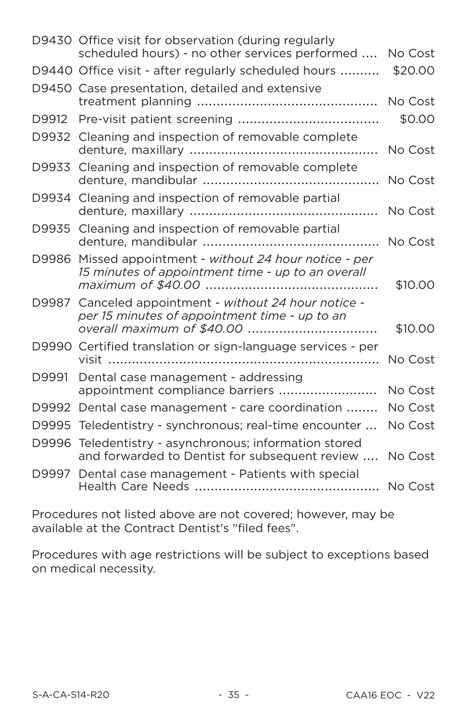|       | D9430 Office visit for observation (during regularly<br>scheduled hours) - no other services performed       | No Cost |
|-------|--------------------------------------------------------------------------------------------------------------|---------|
|       | D9440 Office visit - after regularly scheduled hours                                                         | \$20.00 |
|       | D9450 Case presentation, detailed and extensive                                                              | No Cost |
| D9912 |                                                                                                              | \$0.00  |
|       | D9932 Cleaning and inspection of removable complete                                                          | No Cost |
| D9933 | Cleaning and inspection of removable complete                                                                | No Cost |
|       | D9934 Cleaning and inspection of removable partial                                                           | No Cost |
|       | D9935 Cleaning and inspection of removable partial                                                           | No Cost |
|       | D9986 Missed appointment - without 24 hour notice - per<br>15 minutes of appointment time - up to an overall | \$10.00 |
| D9987 | Canceled appointment - without 24 hour notice -<br>per 15 minutes of appointment time - up to an             | \$10.00 |
|       | D9990 Certified translation or sign-language services - per<br>visit                                         | No Cost |
| D9991 | Dental case management - addressing<br>appointment compliance barriers                                       | No Cost |
|       | D9992 Dental case management - care coordination                                                             | No Cost |
|       | D9995 Teledentistry - synchronous; real-time encounter                                                       | No Cost |
| D9996 | Teledentistry - asynchronous; information stored<br>and forwarded to Dentist for subsequent review           | No Cost |
| D9997 | Dental case management - Patients with special                                                               | No Cost |

Procedures not listed above are not covered; however, may be available at the Contract Dentist's "filed fees".

Procedures with age restrictions will be subject to exceptions based on medical necessity.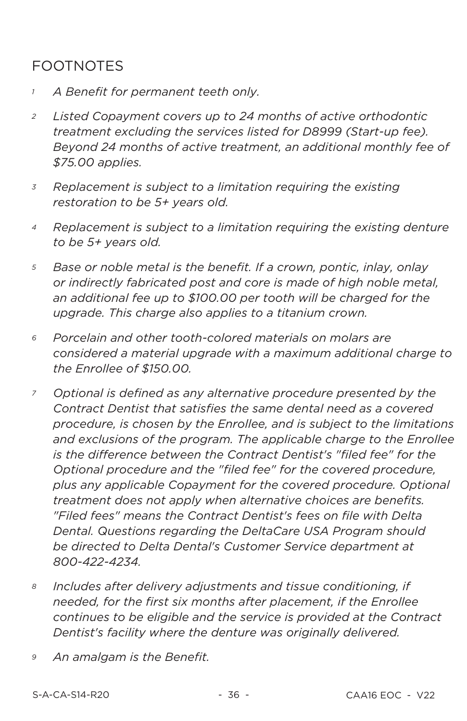# **FOOTNOTES**

- A Benefit for permanent teeth only.  $\mathcal{I}$
- Listed Copayment covers up to 24 months of active orthodontic  $\overline{a}$ treatment excluding the services listed for D8999 (Start-up fee). Beyond 24 months of active treatment, an additional monthly fee of \$75.00 applies.
- Replacement is subject to a limitation requiring the existing  $\overline{3}$ restoration to be 5+ years old.
- Replacement is subject to a limitation requiring the existing denture  $\overline{4}$ to be 5+ years old.
- 5 Base or noble metal is the benefit. If a crown, pontic, inlay, onlay or indirectly fabricated post and core is made of high noble metal. an additional fee up to \$100.00 per tooth will be charged for the uparade. This charge also applies to a titanium crown.
- Porcelain and other tooth-colored materials on molars are 6 considered a material upgrade with a maximum additional charge to the Enrollee of \$150.00.
- Optional is defined as any alternative procedure presented by the  $\overline{z}$ Contract Dentist that satisfies the same dental need as a covered procedure, is chosen by the Enrollee, and is subject to the limitations and exclusions of the program. The applicable charge to the Enrollee is the difference between the Contract Dentist's "filed fee" for the Optional procedure and the "filed fee" for the covered procedure. plus any applicable Copayment for the covered procedure. Optional treatment does not apply when alternative choices are benefits. "Filed fees" means the Contract Dentist's fees on file with Delta Dental. Questions regarding the DeltaCare USA Program should be directed to Delta Dental's Customer Service department at 800-422-4234
- 8 Includes after delivery adjustments and tissue conditioning, if needed, for the first six months after placement, if the Enrollee continues to be eligible and the service is provided at the Contract Dentist's facility where the denture was originally delivered.
- 9 An amalgam is the Benefit.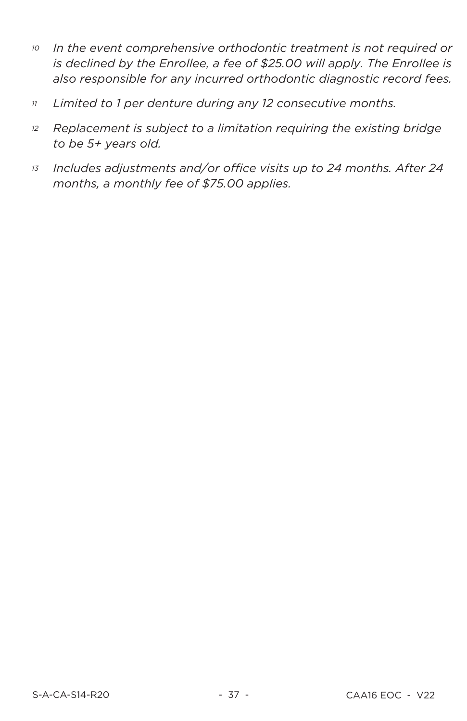- In the event comprehensive orthodontic treatment is not required or 10 is declined by the Enrollee, a fee of \$25.00 will apply. The Enrollee is also responsible for any incurred orthodontic diagnostic record fees.
- Limited to 1 per denture during any 12 consecutive months.  $11$
- Replacement is subject to a limitation requiring the existing bridge  $12$ to be 5+ years old.
- Includes adjustments and/or office visits up to 24 months. After 24  $13$ months, a monthly fee of \$75.00 applies.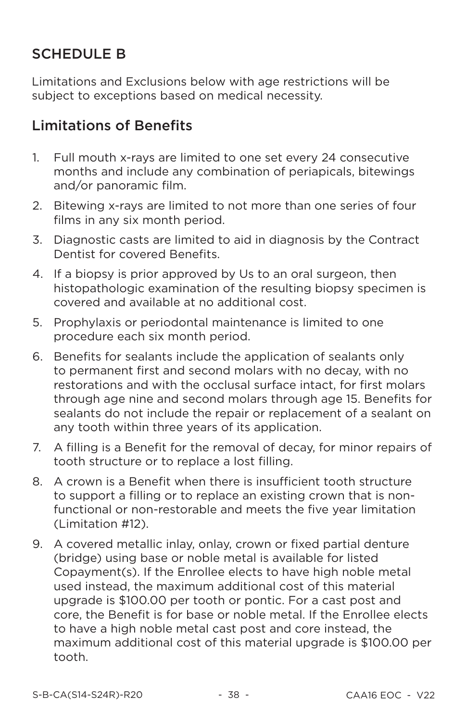## **SCHEDULE B**

Limitations and Exclusions below with age restrictions will be subject to exceptions based on medical necessity.

## **Limitations of Benefits**

- Full mouth x-rays are limited to one set every 24 consecutive  $1<sup>1</sup>$ months and include any combination of periapicals, bitewings and/or panoramic film.
- 2. Bitewing x-rays are limited to not more than one series of four films in any six month period.
- 3. Diagnostic casts are limited to aid in diagnosis by the Contract Dentist for covered Benefits.
- 4. If a biopsy is prior approved by Us to an oral surgeon, then histopathologic examination of the resulting biopsy specimen is covered and available at no additional cost.
- 5. Prophylaxis or periodontal maintenance is limited to one procedure each six month period.
- Benefits for sealants include the application of sealants only 6. to permanent first and second molars with no decay, with no restorations and with the occlusal surface intact, for first molars through age nine and second molars through age 15. Benefits for sealants do not include the repair or replacement of a sealant on any tooth within three years of its application.
- 7. A filling is a Benefit for the removal of decay, for minor repairs of tooth structure or to replace a lost filling.
- A crown is a Benefit when there is insufficient tooth structure 8. to support a filling or to replace an existing crown that is nonfunctional or non-restorable and meets the five year limitation (Limitation #12).
- 9. A covered metallic inlay, onlay, crown or fixed partial denture (bridge) using base or noble metal is available for listed Copayment(s). If the Enrollee elects to have high noble metal used instead, the maximum additional cost of this material upgrade is \$100.00 per tooth or pontic. For a cast post and core, the Benefit is for base or noble metal. If the Enrollee elects to have a high noble metal cast post and core instead, the maximum additional cost of this material upgrade is \$100.00 per tooth.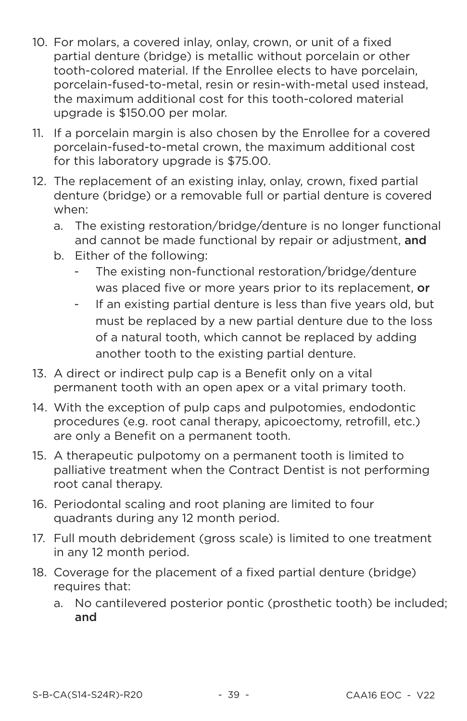- 10. For molars, a covered inlay, onlay, crown, or unit of a fixed partial denture (bridge) is metallic without porcelain or other tooth-colored material. If the Enrollee elects to have porcelain, porcelain-fused-to-metal, resin or resin-with-metal used instead. the maximum additional cost for this tooth-colored material upgrade is \$150.00 per molar.
- 11. If a porcelain margin is also chosen by the Enrollee for a covered porcelain-fused-to-metal crown, the maximum additional cost for this laboratory upgrade is \$75.00.
- 12. The replacement of an existing inlay, onlay, crown, fixed partial denture (bridge) or a removable full or partial denture is covered when:
	- a. The existing restoration/bridge/denture is no longer functional and cannot be made functional by repair or adjustment, and
	- b. Either of the following:
		- The existing non-functional restoration/bridge/denture was placed five or more years prior to its replacement, or
		- If an existing partial denture is less than five years old, but  $\sim$ must be replaced by a new partial denture due to the loss of a natural tooth, which cannot be replaced by adding another tooth to the existing partial denture.
- 13. A direct or indirect pulp cap is a Benefit only on a vital permanent tooth with an open apex or a vital primary tooth.
- 14. With the exception of pulp caps and pulpotomies, endodontic procedures (e.g. root canal therapy, apicoectomy, retrofill, etc.) are only a Benefit on a permanent tooth.
- 15. A therapeutic pulpotomy on a permanent tooth is limited to palliative treatment when the Contract Dentist is not performing root canal therapy.
- 16. Periodontal scaling and root planing are limited to four quadrants during any 12 month period.
- 17. Full mouth debridement (gross scale) is limited to one treatment in any 12 month period.
- 18. Coverage for the placement of a fixed partial denture (bridge) requires that:
	- No cantilevered posterior pontic (prosthetic tooth) be included;  $a<sub>1</sub>$ and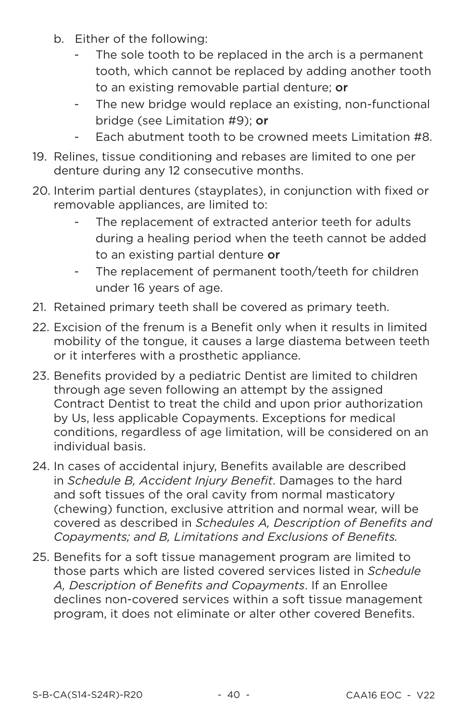- b. Either of the following:
	- The sole tooth to be replaced in the arch is a permanent tooth, which cannot be replaced by adding another tooth to an existing removable partial denture: or
	- The new bridge would replace an existing, non-functional  $\omega_{\rm{eff}}$ bridge (see Limitation #9); or
	- Each abutment tooth to be crowned meets Limitation #8.
- 19. Relines, tissue conditioning and rebases are limited to one per denture during any 12 consecutive months.
- 20. Interim partial dentures (stayplates), in conjunction with fixed or removable appliances, are limited to:
	- The replacement of extracted anterior teeth for adults during a healing period when the teeth cannot be added to an existing partial denture or
	- The replacement of permanent tooth/teeth for children under 16 years of age.
- 21. Retained primary teeth shall be covered as primary teeth.
- 22. Excision of the frenum is a Benefit only when it results in limited mobility of the tongue, it causes a large diastema between teeth or it interferes with a prosthetic appliance.
- 23. Benefits provided by a pediatric Dentist are limited to children through age seven following an attempt by the assigned Contract Dentist to treat the child and upon prior authorization by Us, less applicable Copayments. Exceptions for medical conditions, regardless of age limitation, will be considered on an individual basis.
- 24. In cases of accidental injury, Benefits available are described in Schedule B. Accident Injury Benefit. Damages to the hard and soft tissues of the oral cavity from normal masticatory (chewing) function, exclusive attrition and normal wear, will be covered as described in Schedules A, Description of Benefits and Copayments; and B. Limitations and Exclusions of Benefits.
- 25. Benefits for a soft tissue management program are limited to those parts which are listed covered services listed in Schedule A. Description of Benefits and Copayments. If an Enrollee declines non-covered services within a soft tissue management program, it does not eliminate or alter other covered Benefits.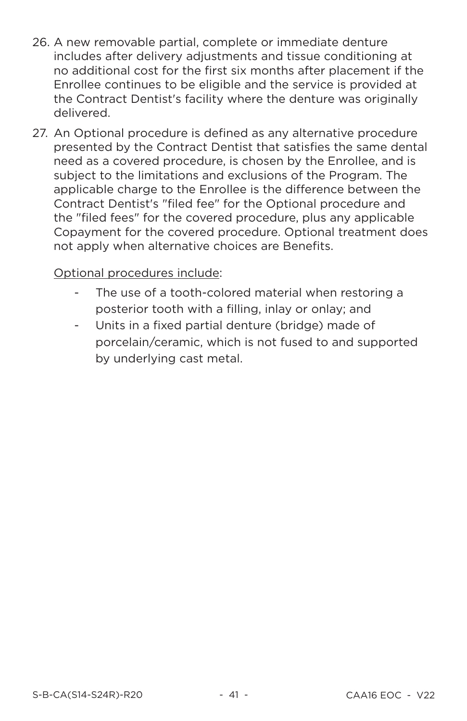- 26. A new removable partial, complete or immediate denture includes after delivery adjustments and tissue conditioning at no additional cost for the first six months after placement if the Enrollee continues to be eligible and the service is provided at the Contract Dentist's facility where the denture was originally delivered
- 27. An Optional procedure is defined as any alternative procedure presented by the Contract Dentist that satisfies the same dental need as a covered procedure, is chosen by the Enrollee, and is subject to the limitations and exclusions of the Program. The applicable charge to the Enrollee is the difference between the Contract Dentist's "filed fee" for the Optional procedure and the "filed fees" for the covered procedure, plus any applicable Copayment for the covered procedure, Optional treatment does not apply when alternative choices are Benefits.

#### Optional procedures include:

- The use of a tooth-colored material when restoring a posterior tooth with a filling, inlay or onlay; and
- Units in a fixed partial denture (bridge) made of porcelain/ceramic, which is not fused to and supported bv underlying cast metal.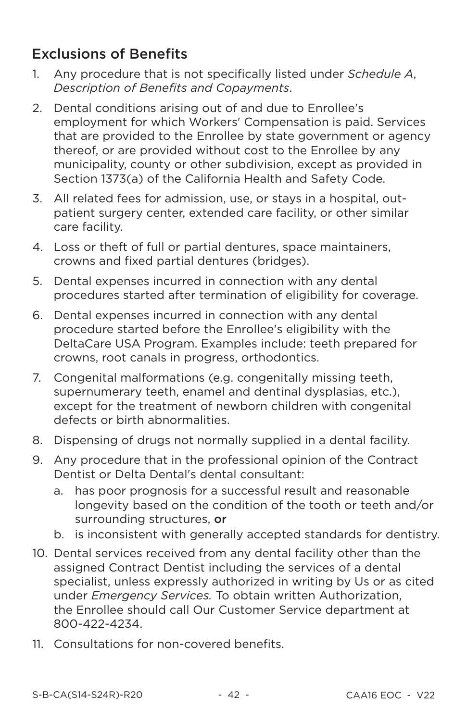## **Exclusions of Benefits**

- Any procedure that is not specifically listed under Schedule A,  $1<sup>1</sup>$ Description of Benefits and Copayments.
- Dental conditions arising out of and due to Enrollee's  $2^{+}$ employment for which Workers' Compensation is paid. Services that are provided to the Enrollee by state government or agency thereof, or are provided without cost to the Enrollee by any municipality, county or other subdivision, except as provided in Section 1373(a) of the California Health and Safety Code.
- 3. All related fees for admission, use, or stays in a hospital, outpatient surgery center, extended care facility, or other similar care facility.
- 4. Loss or theft of full or partial dentures, space maintainers. crowns and fixed partial dentures (bridges).
- 5. Dental expenses incurred in connection with any dental procedures started after termination of eligibility for coverage.
- 6. Dental expenses incurred in connection with any dental procedure started before the Enrollee's eligibility with the DeltaCare USA Program. Examples include: teeth prepared for crowns, root canals in progress, orthodontics.
- $7<sub>1</sub>$ Congenital malformations (e.g. congenitally missing teeth, supernumerary teeth, enamel and dentinal dysplasias, etc.), except for the treatment of newborn children with congenital defects or birth abnormalities.
- 8. Dispensing of drugs not normally supplied in a dental facility.
- 9. Any procedure that in the professional opinion of the Contract Dentist or Delta Dental's dental consultant:
	- has poor prognosis for a successful result and reasonable  $a<sub>1</sub>$ longevity based on the condition of the tooth or teeth and/or surrounding structures. or
	- b. is inconsistent with generally accepted standards for dentistry.
- 10. Dental services received from any dental facility other than the assigned Contract Dentist including the services of a dental specialist, unless expressly authorized in writing by Us or as cited under Emergency Services. To obtain written Authorization, the Enrollee should call Our Customer Service department at 800-422-4234.
- 11. Consultations for non-covered benefits.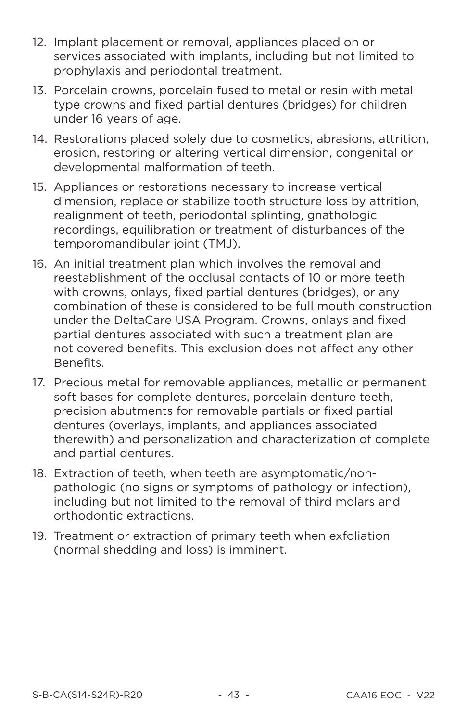- 12. Implant placement or removal, appliances placed on or services associated with implants, including but not limited to prophylaxis and periodontal treatment.
- 13. Porcelain crowns, porcelain fused to metal or resin with metal type crowns and fixed partial dentures (bridges) for children under 16 years of age.
- 14. Restorations placed solely due to cosmetics, abrasions, attrition, erosion, restoring or altering vertical dimension, congenital or developmental malformation of teeth.
- 15. Appliances or restorations necessary to increase vertical dimension, replace or stabilize tooth structure loss by attrition. realignment of teeth, periodontal splinting, gnathologic recordings, equilibration or treatment of disturbances of the temporomandibular joint (TMJ).
- 16. An initial treatment plan which involves the removal and reestablishment of the occlusal contacts of 10 or more teeth with crowns, onlays, fixed partial dentures (bridges), or any combination of these is considered to be full mouth construction under the DeltaCare USA Program, Crowns, onlays and fixed partial dentures associated with such a treatment plan are not covered benefits. This exclusion does not affect any other Benefits.
- 17. Precious metal for removable appliances, metallic or permanent soft bases for complete dentures, porcelain denture teeth. precision abutments for removable partials or fixed partial dentures (overlays, implants, and appliances associated therewith) and personalization and characterization of complete and partial dentures.
- 18. Extraction of teeth, when teeth are asymptomatic/nonpathologic (no signs or symptoms of pathology or infection). including but not limited to the removal of third molars and orthodontic extractions
- 19. Treatment or extraction of primary teeth when exfoliation (normal shedding and loss) is imminent.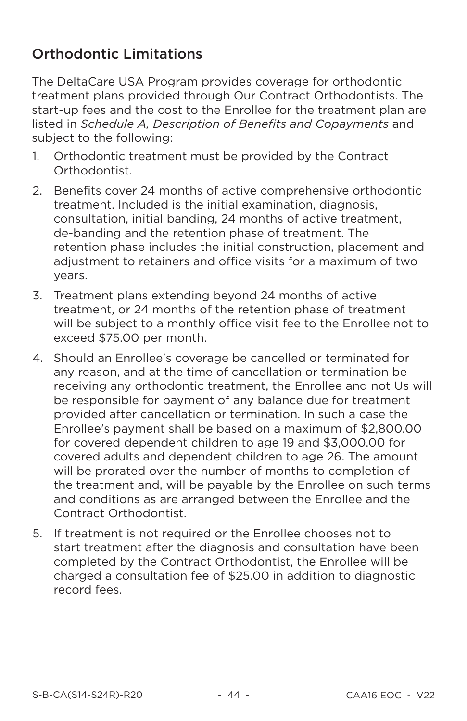## **Orthodontic Limitations**

The DeltaCare USA Program provides coverage for orthodontic treatment plans provided through Our Contract Orthodontists. The start-up fees and the cost to the Enrollee for the treatment plan are listed in Schedule A, Description of Benefits and Copayments and subiect to the following:

- $\mathbf{1}$ Orthodontic treatment must be provided by the Contract Orthodontist.
- Benefits cover 24 months of active comprehensive orthodontic  $\mathcal{D}$ treatment. Included is the initial examination, diagnosis. consultation, initial banding, 24 months of active treatment. de-banding and the retention phase of treatment. The retention phase includes the initial construction, placement and adjustment to retainers and office visits for a maximum of two vears.
- 3. Treatment plans extending beyond 24 months of active treatment, or 24 months of the retention phase of treatment will be subject to a monthly office visit fee to the Enrollee not to exceed \$75.00 per month.
- 4. Should an Enrollee's coverage be cancelled or terminated for any reason, and at the time of cancellation or termination be receiving any orthodontic treatment, the Enrollee and not Us will be responsible for payment of any balance due for treatment provided after cancellation or termination. In such a case the Enrollee's payment shall be based on a maximum of \$2,800.00 for covered dependent children to age 19 and \$3,000.00 for covered adults and dependent children to age 26. The amount will be prorated over the number of months to completion of the treatment and, will be payable by the Enrollee on such terms and conditions as are arranged between the Enrollee and the Contract Orthodontist.
- 5. If treatment is not required or the Enrollee chooses not to start treatment after the diagnosis and consultation have been completed by the Contract Orthodontist, the Enrollee will be charged a consultation fee of \$25.00 in addition to diagnostic record fees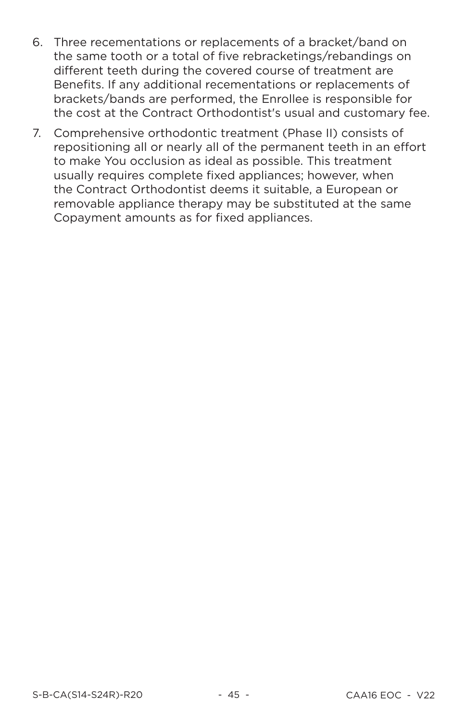- 6. Three recementations or replacements of a bracket/band on the same tooth or a total of five rebracketings/rebandings on different teeth during the covered course of treatment are Benefits. If any additional recementations or replacements of brackets/bands are performed, the Enrollee is responsible for the cost at the Contract Orthodontist's usual and customary fee.
- $7.$ Comprehensive orthodontic treatment (Phase II) consists of repositioning all or nearly all of the permanent teeth in an effort to make You occlusion as ideal as possible. This treatment usually requires complete fixed appliances; however, when the Contract Orthodontist deems it suitable, a European or removable appliance therapy may be substituted at the same Copayment amounts as for fixed appliances.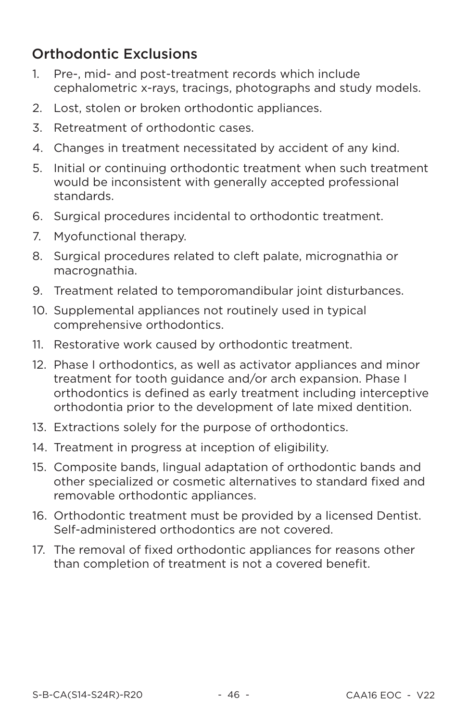## **Orthodontic Exclusions**

- Pre-, mid- and post-treatment records which include  $1<sup>1</sup>$ cephalometric x-rays, tracings, photographs and study models.
- $\mathcal{D}_{\mathcal{L}}$ Lost, stolen or broken orthodontic appliances.
- $\overline{5}$ Retreatment of orthodontic cases.
- 4. Changes in treatment necessitated by accident of any kind.
- 5. Initial or continuing orthodontic treatment when such treatment would be inconsistent with generally accepted professional standards.
- 6. Surgical procedures incidental to orthodontic treatment.
- $7<sub>1</sub>$ Myofunctional therapy.
- Surgical procedures related to cleft palate, micrognathia or 8. macrognathia.
- 9. Treatment related to temporomandibular joint disturbances.
- 10. Supplemental appliances not routinely used in typical comprehensive orthodontics.
- 11. Restorative work caused by orthodontic treatment.
- 12. Phase I orthodontics, as well as activator appliances and minor treatment for tooth guidance and/or arch expansion. Phase I orthodontics is defined as early treatment including interceptive orthodontia prior to the development of late mixed dentition.
- 13. Extractions solely for the purpose of orthodontics.
- 14. Treatment in progress at inception of eligibility.
- 15. Composite bands, lingual adaptation of orthodontic bands and other specialized or cosmetic alternatives to standard fixed and removable orthodontic appliances.
- 16. Orthodontic treatment must be provided by a licensed Dentist. Self-administered orthodontics are not covered.
- 17. The removal of fixed orthodontic appliances for reasons other than completion of treatment is not a covered benefit.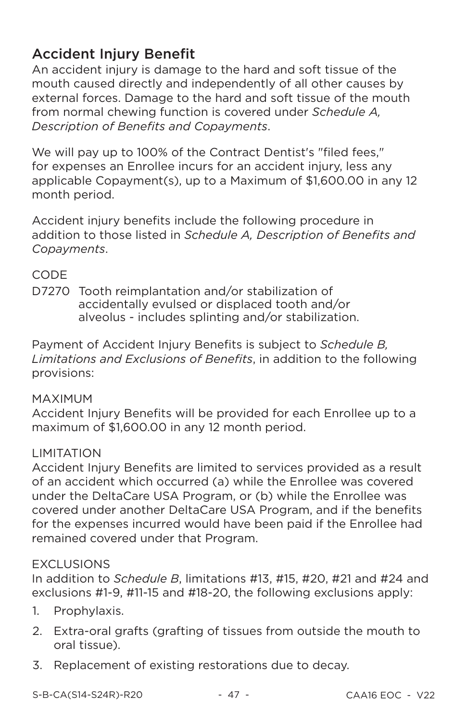# **Accident Injury Benefit**

An accident injury is damage to the hard and soft tissue of the mouth caused directly and independently of all other causes by external forces. Damage to the hard and soft tissue of the mouth from normal chewing function is covered under Schedule A. Description of Benefits and Copayments.

We will pay up to 100% of the Contract Dentist's "filed fees," for expenses an Enrollee incurs for an accident injury, less any applicable Copayment(s), up to a Maximum of \$1,600.00 in any 12 month period.

Accident injury benefits include the following procedure in addition to those listed in Schedule A, Description of Benefits and Copayments.

## **CODE**

D7270 Tooth reimplantation and/or stabilization of accidentally evulsed or displaced tooth and/or alveolus - includes splinting and/or stabilization.

Payment of Accident Injury Benefits is subject to Schedule B. Limitations and Exclusions of Benefits, in addition to the following provisions:

## **MAXIMUM**

Accident Injury Benefits will be provided for each Enrollee up to a maximum of \$1.600.00 in any 12 month period.

## **I IMITATION**

Accident Injury Benefits are limited to services provided as a result of an accident which occurred (a) while the Enrollee was covered under the DeltaCare USA Program, or (b) while the Enrollee was covered under another DeltaCare USA Program, and if the benefits for the expenses incurred would have been paid if the Enrollee had remained covered under that Program.

## **FXCLUSIONS**

In addition to Schedule B, limitations #13, #15, #20, #21 and #24 and exclusions #1-9, #11-15 and #18-20, the following exclusions apply:

- 1. Prophylaxis.
- 2. Extra-oral grafts (grafting of tissues from outside the mouth to oral tissue).
- 3. Replacement of existing restorations due to decay.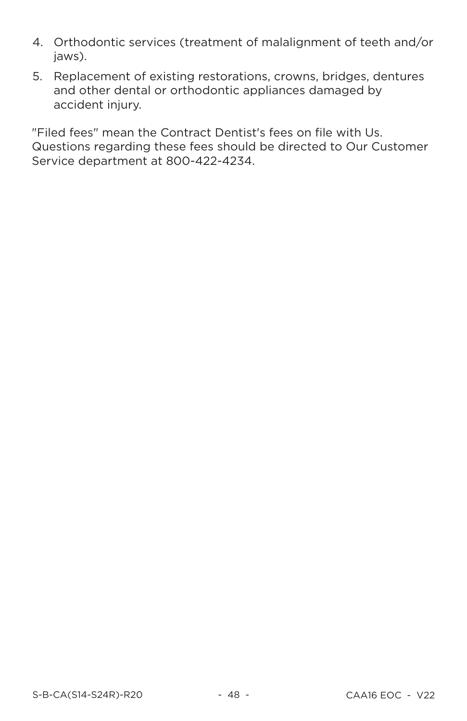- 4. Orthodontic services (treatment of malalignment of teeth and/or jaws).
- 5. Replacement of existing restorations, crowns, bridges, dentures and other dental or orthodontic appliances damaged by accident injury.

"Filed fees" mean the Contract Dentist's fees on file with Us. Questions regarding these fees should be directed to Our Customer Service department at 800-422-4234.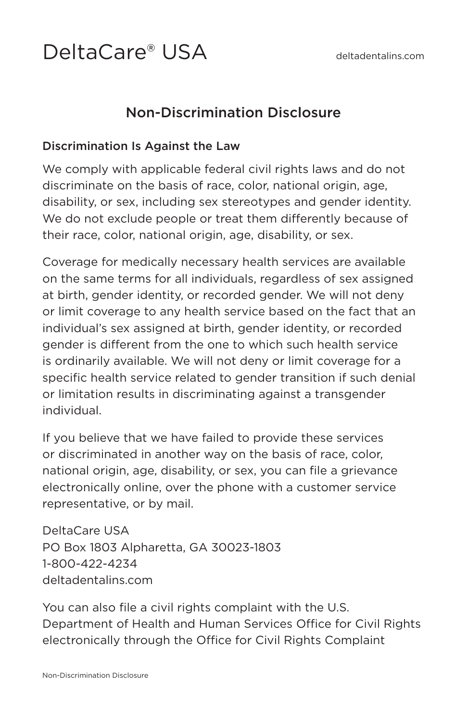# DeltaCare® USA

# Non-Discrimination Disclosure

#### Discrimination Is Against the Law

We comply with applicable federal civil rights laws and do not discriminate on the basis of race, color, national origin, age, disability, or sex, including sex stereotypes and gender identity. We do not exclude people or treat them differently because of their race, color, national origin, age, disability, or sex.

Coverage for medically necessary health services are available on the same terms for all individuals, regardless of sex assigned at birth, gender identity, or recorded gender. We will not deny or limit coverage to any health service based on the fact that an individual's sex assigned at birth, gender identity, or recorded gender is different from the one to which such health service is ordinarily available. We will not deny or limit coverage for a specific health service related to gender transition if such denial or limitation results in discriminating against a transgender individual.

If you believe that we have failed to provide these services or discriminated in another way on the basis of race, color, national origin, age, disability, or sex, you can file a grievance electronically online, over the phone with a customer service representative, or by mail.

DeltaCare USA PO Box 1803 Alpharetta, GA 30023-1803 1-800-422-4234 deltadentalins.com

You can also file a civil rights complaint with the U.S. Department of Health and Human Services Office for Civil Rights electronically through the Office for Civil Rights Complaint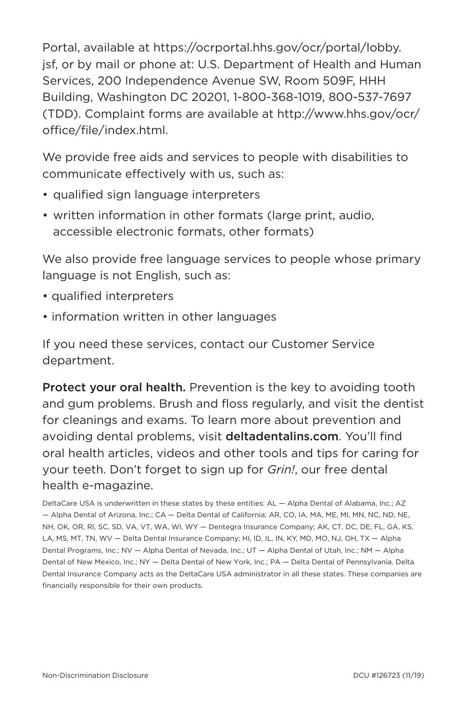Portal, available at https://ocrportal.hhs.gov/ocr/portal/lobby. jsf, or by mail or phone at: U.S. Department of Health and Human Services, 200 Independence Avenue SW, Room 509F, HHH Building, Washington DC 20201, 1-800-368-1019, 800-537-7697 (TDD). Complaint forms are available at http://www.hhs.gov/ocr/ office/file/index.html.

We provide free aids and services to people with disabilities to communicate effectively with us, such as:

- qualified sign language interpreters
- written information in other formats (large print, audio, accessible electronic formats, other formats)

We also provide free language services to people whose primary language is not English, such as:

- qualified interpreters
- information written in other languages

If you need these services, contact our Customer Service department.

Protect your oral health. Prevention is the key to avoiding tooth and gum problems. Brush and floss regularly, and visit the dentist for cleanings and exams. To learn more about prevention and avoiding dental problems, visit deltadentalins.com. You'll find oral health articles, videos and other tools and tips for caring for your teeth. Don't forget to sign up for *Grin!*, our free dental health e-magazine.

DeltaCare USA is underwritten in these states by these entities: AL — Alpha Dental of Alabama, Inc.; AZ — Alpha Dental of Arizona, Inc.; CA — Delta Dental of California; AR, CO, IA, MA, ME, MI, MN, NC, ND, NE, NH, OK, OR, RI, SC, SD, VA, VT, WA, WI, WY — Dentegra Insurance Company; AK, CT, DC, DE, FL, GA, KS, LA, MS, MT, TN, WV — Delta Dental Insurance Company; HI, ID, IL, IN, KY, MD, MO, NJ, OH, TX — Alpha Dental Programs, Inc.; NV — Alpha Dental of Nevada, Inc.; UT — Alpha Dental of Utah, Inc.; NM — Alpha Dental of New Mexico, Inc.; NY — Delta Dental of New York, Inc.; PA — Delta Dental of Pennsylvania. Delta Dental Insurance Company acts as the DeltaCare USA administrator in all these states. These companies are financially responsible for their own products.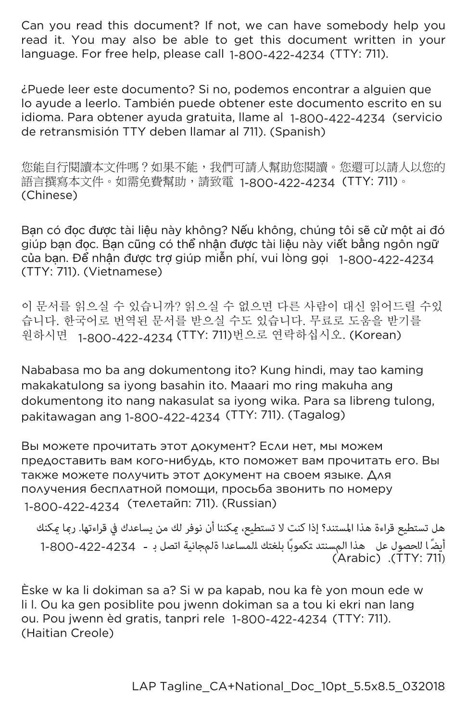Can you read this document? If not, we can have somebody help you read it. You may also be able to get this document written in your language. For free help, please call 1-800-422-4234 (TTY: 711).

¿Puede leer este documento? Si no, podemos encontrar a alguien que lo ayude a leerlo. También puede obtener este documento escrito en su idioma. Para obtener ayuda gratuita, llame al 1-800-422-4234 (servicio de retransmisión TTY deben llamar al 711). (Spanish)

您能自行閱讀本文件嗎?如果不能,我們可請人幫助您閱讀。您還可以請人以您的 語言撰寫本文件。如需免費幫助,請致電 1-800-422-4234(TTY: 711)。 (Chinese)

Bạn có đọc được tài liệu này không? Nếu không, chúng tôi sẽ cử một ai đó giúp bạn đọc. Bạn cũng có thể nhận được tài liệu này viết bằng ngôn ngữ của bạn. Để nhận được trợ giúp miên phí, vui lòng gọi 1-800-422-4234<br>(TTY: 711). (Vietnamese)

이 문서를 읽으실 수 있습니까? 읽으실 수 없으면 다른 사람이 대신 읽어드릴 수있 습니다. 한국어로 번역된 문서를 받으실 수도 있습니다. 무료로 도움을 받기를 원하시면 1-800-422-4234 (TTY: 711)번으로 연락하십시오. (Korean)

Nababasa mo ba ang dokumentong ito? Kung hindi, may tao kaming makakatulong sa iyong basahin ito. Maaari mo ring makuha ang dokumentong ito nang nakasulat sa iyong wika. Para sa libreng tulong, pakitawagan ang 1-800-422-4234 (TTY: 711). (Tagalog)

Вы можете прочитать этот документ? Если нет, мы можем предоставить вам кого-нибудь, кто поможет вам прочитать его. Вы также можете получить этот документ на своем языке. Для получения бесплатной помощи, просьба звонить по номеру 1-800-422-4234 (телетайп: 711). (Russian)

هل تستطيع قراءة هذا المستند؟ إذا كنت لا تستطيع، ميكننا أن نوفر لك من يساعدك في قراءتها. رمبا ميكنك ي - بلغت السبب عن المسنت.<br>أيضًا للحصول عل هذا المسنتد تكموبًا بلغتك للمساعدا ةلمجانية اتصل بـ ɀ ɀ (Arabic) (TTY: 711) 1-800-422-4234

Èske w ka li dokiman sa a? Si w pa kapab, nou ka fè yon moun ede w li l. Ou ka gen posiblite pou jwenn dokiman sa a tou ki ekri nan lang ou. Pou jwenn èd gratis, tanpri rele 1-800-422-4234 (TTY: 711). (Haitian Creole)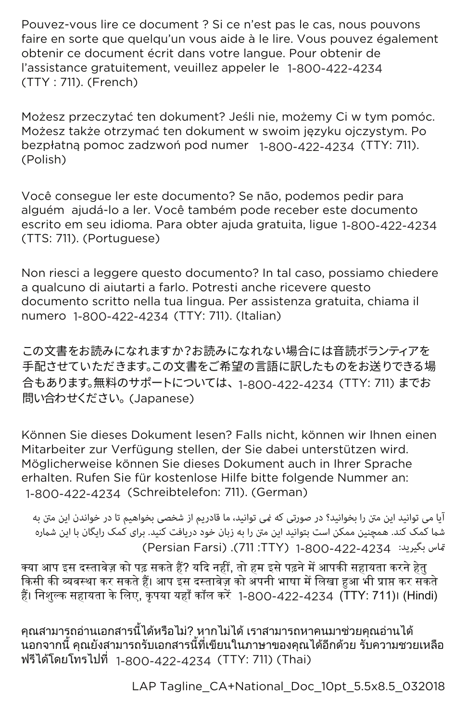Pouvez-vous lire ce document ? Si ce n'est pas le cas, nous pouvons faire en sorte que quelqu'un vous aide à le lire. Vous pouvez également obtenir ce document écrit dans votre langue. Pour obtenir de l'assistance gratuitement, veuillez appeler le 1-800-422-4234 (TTY : 711). (French)

Możesz przeczytać ten dokument? Jeśli nie, możemy Ci w tym pomóc. Możesz także otrzymać ten dokument w swoim języku ojczystym. Po bezpłatną pomoc zadzwoń pod numer 1-800-422-4234 (TTY: 711).  $(Polit)$ 

Você conseque ler este documento? Se não, podemos pedir para alquém ajudá-lo a ler. Você também pode receber este documento escrito em seu idioma. Para obter ajuda gratuita, ligue 1-800-422-4234 (TTS: 711). (Portuguese)

Non riesci a leggere questo documento? In tal caso, possiamo chiedere a qualcuno di aiutarti a farlo. Potresti anche ricevere questo documento scritto nella tua lingua. Per assistenza gratuita, chiama il numero 1-800-422-4234 (TTY: 711). (Italian)

この文書をお読みになれますか?お読みになれない場合には音読ボランティアを 手配させていただきます。この文書をご希望の言語に訳したものをお送りできる場 合もあります。無料のサポートについては、1-800-422-4234 (TTY: 711) までお 問い合わせください。 (Japanese)

Können Sie dieses Dokument lesen? Falls nicht, können wir Ihnen einen Mitarbeiter zur Verfügung stellen, der Sie dabei unterstützen wird. Möglicherweise können Sie dieses Dokument auch in Ihrer Sprache erhalten. Rufen Sie für kostenlose Hilfe bitte folgende Nummer an: 1-800-422-4234(Schreibtelefon: 711). (German)

آیا می توانید این منت را بخوانید؟ در صورتی که منی توانید، ما قادریم از شخصی بخواھیم تا در خواندن این منت به شما کمک کند. همچنین ممکن است بتوانید این متن را به زبان خود دریافت کنید. برای کمک رایگان با این شماره .<br>قاس بگیرید: 4234-422-2008-1 (711:TTY). (Persian Farsi).

क्या आप इस दस्तावेज़ को पढ़ सकते हैं? यदि नहीं, तो हम इसे पढ़ने में आपकी सहायता करने हेतु किसी की व्यवस्था कर सकते हैं। आप इस दस्तावेज़ को अपनी भाषा में लिखा हुआ भी प्राप्त कर सकते हैं। निशुल्क सहायता के लिए, कृपया यहाँ काँल करें 1-800-422-4234 (TTY: 711)। (Hindi)

คุณสามารถอ่านเอกสารนี้ได้หรือไม่? หากไม่ได้ เราสามารถหาคนมาช่วยคุณอ่านได้ ้นอกจากนี้ คณยังสามารถรับเอกสารนี้ที่เขียนในภาษาของคณได้อีกด้วย รับความชวยเหลือ ฟรีได้โดยโทรไปที่ 1-800-422-4234 (TTY: 711)(Thai)

LAP Tagline\_CA+National\_Doc\_10pt\_5.5x8.5\_032018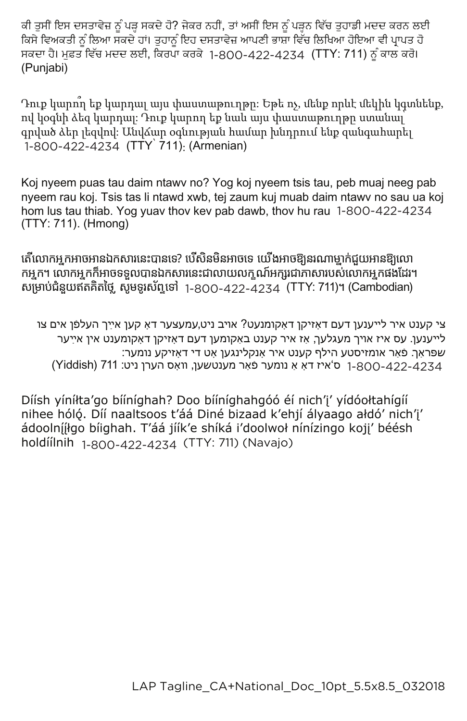ਕੀ ਤੁਸੀਂ ਇਸ ਦਸਤਾਵੇਜ਼ ਨੂੰ ਪੜ੍ਹ ਸਕਦੇ ਹੋ? ਜੇਕਰ ਨਹੀਂ, ਤਾਂ ਅਸੀਂ ਇਸ ਨੂੰ ਪੜ੍ਹਨ ਵਿੱਚ ਤੁਹਾਡੀ ਮਦਦ ਕਰਨ ਲਈ ਕਿਸੇ ਵਿਅਕਤੀ ਨੂੰ ਲਿਆ ਸਕਦੇ ਹਾਂ। ਤੁਹਾਨੂੰ ਇਹ ਦਸਤਾਵੇਜ਼ ਆਪਣੀ ਭਾਸ਼ਾ ਵਿੱਚ ਲਿਖਿਆ ਹੋਇਆ ਵੀ ਪ੍ਰਾਪਤ ਹੋ ਸਕਦਾ ਹੈ। ਮੁਫ਼ਤ ਵਿੱਚ ਮਦਦ ਲਈ, ਕਿਰਪਾ ਕਰਕੇ 1-800-422-4234 (TTY: 711) ਨੂੰ ਕਾਲ ਕਰੋ। (Punjabi)

Դուք կարող եք կարդալ այս փաստաթուղթը։ Եթե ոչ, մենք որևէ մեկին կգտնենք, ով կօգնի ձեզ կարդալ։ Դուք կարող եք նաև այս փաստաթուղթը ստանալ գրված ձեր լեզվով։ Անվձար օգնության համար խնդրում ենք զանգահարել  $\frac{11}{1800}$ -422-4234 (TTY 711): (Armenian)

Koj nyeem puas tau daim ntawv no? Yog koj nyeem tsis tau, peb muaj neeg pab nyeem rau koj. Tsis tas li ntawd xwb, tej zaum kuj muab daim ntawy no sau ua koj hom lus tau thiab. Yog yuav thov kev pab dawb, thov hu rau 1-800-422-4234 (TTY: 711). (Hmong)

តើលោកអ្នកអាចអានឯកសារនេះបានទេ? បើសិនមិនអាចទេ យើងអាចឱ្យនរណាម្នាក់ជួយអានឱ្យលោ កអ្នក។ លោកអ្នកក៏អាចទទួលបានឯកសារនេះជាលាយលក្ខណ៍អក្សរជាភាសារបស់លោកអ្នកផងដែរ។ សម្រាប់ជំនួយឥតគិតថ្លៃ សូមទូរស័ព្ទទៅ 1-800-422-4234 (TTY: 711)។ (Cambodian)

צי קענט איר לײענען דעם דאָזיקן דאָקומנעט? אױב ניט,עמעצער דאָ קען אײַך העלפֿן אים צו לײענען. עס איז אױך מעגלעך, אַז איר קענט באַקומען דעם דאָזיקן דאָקומענט אין אײַער :שפּראַך פֿאַר אומזיסטע הילף קענט איר אָנקלינגען אָט די דאָזיקע נומער ן ס'איז דאָ אַ נומער פֿאַר מענטשען, װאָס הערן ניט: 187 (Yiddish) איז דאָ אַ נומער פֿאַר מענטשען,

Díísh yíníłta'go bííníghah? Doo bííníghahgóó éí nich'i' yídóołtahígíí nihee hóló. Díí naaltsoos t'áá Diné bizaad k'ehjí ályaago ałdó' nich'i' ádoolnííłgo bíighah. T'áá jíík'e shíká i'doolwoł nínízingo koji' béésh holdíílnih 1-800-422-4234 (TTY: 711) (Navajo)